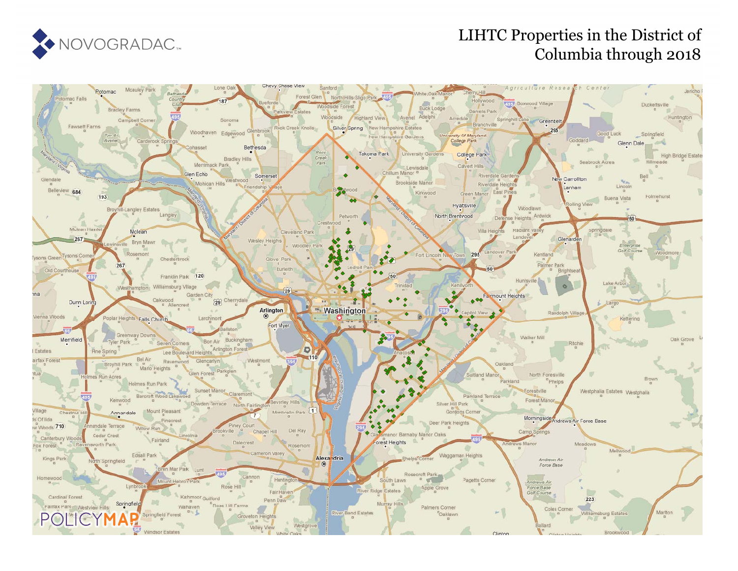

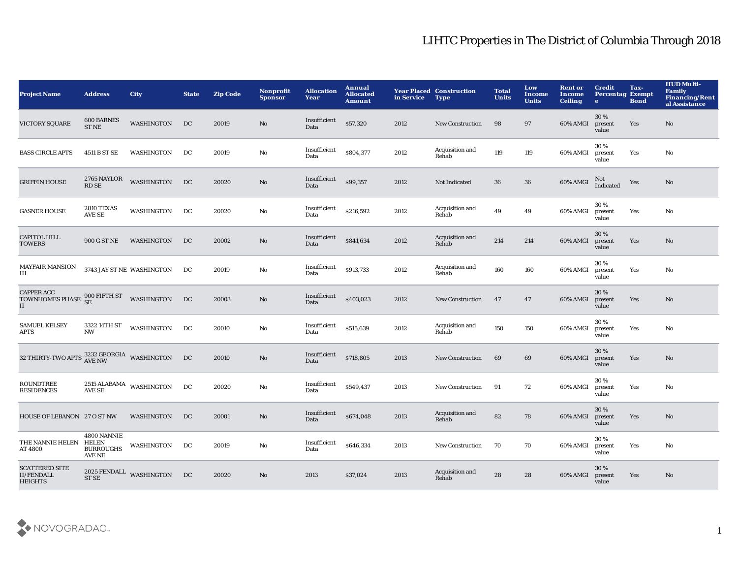| <b>Project Name</b>                                                           | <b>Address</b>                                     | <b>City</b>                    | <b>State</b> | <b>Zip Code</b> | Nonprofit<br><b>Sponsor</b> | <b>Allocation</b><br>Year | Annual<br><b>Allocated</b><br><b>Amount</b> | in Service | <b>Year Placed Construction</b><br><b>Type</b> | <b>Total</b><br><b>Units</b> | Low<br>Income<br><b>Units</b> | <b>Rent or</b><br><b>Income</b><br><b>Ceiling</b> | <b>Credit</b><br><b>Percentag Exempt</b><br>$\bullet$ | Tax-<br><b>Bond</b> | <b>HUD Multi-</b><br><b>Family</b><br><b>Financing/Rent</b><br>al Assistance |
|-------------------------------------------------------------------------------|----------------------------------------------------|--------------------------------|--------------|-----------------|-----------------------------|---------------------------|---------------------------------------------|------------|------------------------------------------------|------------------------------|-------------------------------|---------------------------------------------------|-------------------------------------------------------|---------------------|------------------------------------------------------------------------------|
| <b>VICTORY SQUARE</b>                                                         | <b>600 BARNES</b><br><b>ST NE</b>                  | <b>WASHINGTON</b>              | DC           | 20019           | No                          | Insufficient<br>Data      | \$57,320                                    | 2012       | <b>New Construction</b>                        | 98                           | 97                            | 60% AMGI                                          | 30%<br>present<br>value                               | Yes                 | No                                                                           |
| <b>BASS CIRCLE APTS</b>                                                       | 4511 B ST SE                                       | WASHINGTON                     | DC           | 20019           | No                          | Insufficient<br>Data      | \$804,377                                   | 2012       | Acquisition and<br>Rehab                       | 119                          | 119                           | 60% AMGI                                          | 30%<br>present<br>value                               | Yes                 | No                                                                           |
| <b>GRIFFIN HOUSE</b>                                                          | 2765 NAYLOR<br><b>RD SE</b>                        | <b>WASHINGTON</b>              | DC           | 20020           | $\mathbf{No}$               | Insufficient<br>Data      | \$99,357                                    | 2012       | Not Indicated                                  | 36                           | $36\,$                        | 60% AMGI                                          | Not<br>Indicated                                      | Yes                 | No                                                                           |
| <b>GASNER HOUSE</b>                                                           | <b>2810 TEXAS</b><br><b>AVE SE</b>                 | WASHINGTON                     | DC           | 20020           | No                          | Insufficient<br>Data      | \$216,592                                   | 2012       | Acquisition and<br>Rehab                       | 49                           | 49                            | 60% AMGI                                          | 30%<br>present<br>value                               | Yes                 | No                                                                           |
| <b>CAPITOL HILL</b><br><b>TOWERS</b>                                          | 900 G ST NE                                        | WASHINGTON                     | DC           | 20002           | No                          | Insufficient<br>Data      | \$841,634                                   | 2012       | Acquisition and<br>Rehab                       | 214                          | 214                           | 60% AMGI                                          | 30%<br>present<br>value                               | Yes                 | No                                                                           |
| <b>MAYFAIR MANSION</b><br>Ш                                                   |                                                    | 3743 JAY ST NE WASHINGTON      | DC           | 20019           | No                          | Insufficient<br>Data      | \$913,733                                   | 2012       | Acquisition and<br>Rehab                       | 160                          | 160                           | 60% AMGI                                          | 30%<br>present<br>value                               | Yes                 | No                                                                           |
| <b>CAPPER ACC</b><br><b>TOWNHOMES PHASE</b><br>II                             |                                                    | 900 FIFTH ST WASHINGTON        | DC           | 20003           | $\mathbf{No}$               | Insufficient<br>Data      | \$403,023                                   | 2012       | <b>New Construction</b>                        | 47                           | 47                            | 60% AMGI                                          | 30%<br>present<br>value                               | Yes                 | $\mathbf{N}\mathbf{o}$                                                       |
| <b>SAMUEL KELSEY</b><br>APTS                                                  | 3322 14TH ST<br><b>NW</b>                          | <b>WASHINGTON</b>              | DC           | 20010           | No                          | Insufficient<br>Data      | \$515,639                                   | 2012       | Acquisition and<br>Rehab                       | 150                          | 150                           | 60% AMGI                                          | 30%<br>present<br>value                               | Yes                 | No                                                                           |
| 32 THIRTY-TWO APTS $\frac{3232 \text{ GEORGIA}}{\text{AVE NW}}$ WASHINGTON DC |                                                    |                                |              | 20010           | $\mathbf{No}$               | Insufficient<br>Data      | \$718,805                                   | 2013       | <b>New Construction</b>                        | 69                           | 69                            | 60% AMGI                                          | 30%<br>present<br>value                               | Yes                 | No                                                                           |
| <b>ROUNDTREE</b><br><b>RESIDENCES</b>                                         | <b>AVE SE</b>                                      | $2515$ ALABAMA $\,$ WASHINGTON | DC           | 20020           | No                          | Insufficient<br>Data      | \$549,437                                   | 2013       | <b>New Construction</b>                        | 91                           | 72                            | 60% AMGI                                          | 30%<br>present<br>value                               | Yes                 | No                                                                           |
| HOUSE OF LEBANON 27 O ST NW                                                   |                                                    | WASHINGTON                     | DC           | 20001           | No                          | Insufficient<br>Data      | \$674,048                                   | 2013       | Acquisition and<br>Rehab                       | 82                           | 78                            | 60% AMGI                                          | 30 %<br>present<br>value                              | Yes                 | No                                                                           |
| THE NANNIE HELEN<br>AT 4800                                                   | 4800 NANNIE<br>HELEN<br><b>BURROUGHS</b><br>AVE NE | WASHINGTON                     | DC           | 20019           | No                          | Insufficient<br>Data      | \$646,334                                   | 2013       | <b>New Construction</b>                        | 70                           | 70                            | 60% AMGI                                          | 30%<br>present<br>value                               | Yes                 | No                                                                           |
| <b>SCATTERED SITE</b><br><b>II/FENDALL</b><br><b>HEIGHTS</b>                  | ST <sub>SE</sub>                                   | 2025 FENDALL WASHINGTON        | DC           | 20020           | N <sub>o</sub>              | 2013                      | \$37,024                                    | 2013       | Acquisition and<br>Rehab                       | 28                           | 28                            | 60% AMGI                                          | 30%<br>present<br>value                               | Yes                 | No                                                                           |

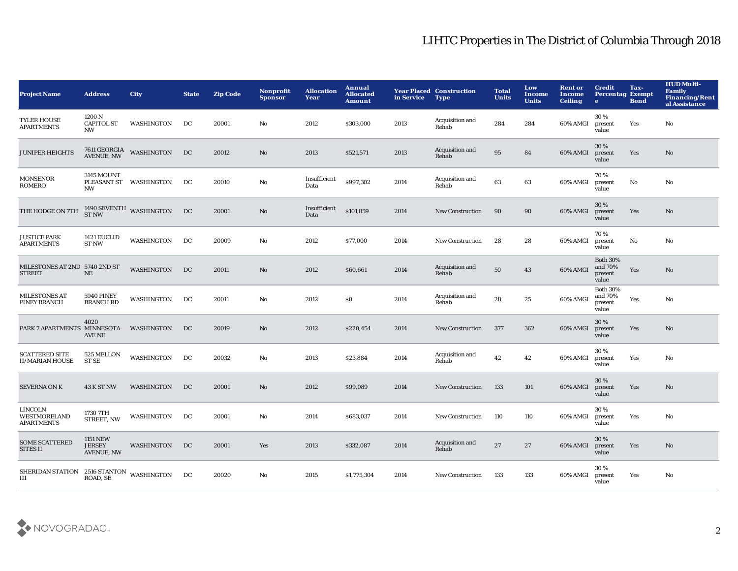| <b>Project Name</b>                                 | <b>Address</b>                                        | <b>City</b>                            | <b>State</b> | <b>Zip Code</b> | Nonprofit<br><b>Sponsor</b> | <b>Allocation</b><br>Year | Annual<br><b>Allocated</b><br><b>Amount</b> | in Service | <b>Year Placed Construction</b><br><b>Type</b> | <b>Total</b><br><b>Units</b> | Low<br><b>Income</b><br><b>Units</b> | <b>Rent or</b><br>Income<br><b>Ceiling</b> | <b>Credit</b><br><b>Percentag Exempt</b><br>$\bullet$ | Tax-<br><b>Bond</b> | <b>HUD Multi-</b><br><b>Family</b><br><b>Financing/Rent</b><br>al Assistance |
|-----------------------------------------------------|-------------------------------------------------------|----------------------------------------|--------------|-----------------|-----------------------------|---------------------------|---------------------------------------------|------------|------------------------------------------------|------------------------------|--------------------------------------|--------------------------------------------|-------------------------------------------------------|---------------------|------------------------------------------------------------------------------|
| <b>TYLER HOUSE</b><br><b>APARTMENTS</b>             | 1200 N<br><b>CAPITOL ST</b><br><b>NW</b>              | WASHINGTON                             | DC           | 20001           | No                          | 2012                      | \$303,000                                   | 2013       | Acquisition and<br>Rehab                       | 284                          | 284                                  | 60% AMGI                                   | 30%<br>present<br>value                               | Yes                 | No                                                                           |
| <b>JUNIPER HEIGHTS</b>                              | 7611 GEORGIA<br>AVENUE, NW                            | <b>WASHINGTON</b>                      | DC           | 20012           | No                          | 2013                      | \$521,571                                   | 2013       | Acquisition and<br>Rehab                       | 95                           | 84                                   | 60% AMGI                                   | 30 %<br>present<br>value                              | Yes                 | No                                                                           |
| <b>MONSENOR</b><br>ROMERO                           | <b>3145 MOUNT</b><br><b>NW</b>                        | PLEASANT ST WASHINGTON                 | DC           | 20010           | No                          | Insufficient<br>Data      | \$997,302                                   | 2014       | Acquisition and<br>Rehab                       | 63                           | 63                                   | 60% AMGI                                   | 70 %<br>present<br>value                              | No                  | No                                                                           |
| THE HODGE ON 7TH                                    |                                                       | $1490\,{\rm SEVENTH}$ WASHINGTON ST NW | DC           | 20001           | No                          | Insufficient<br>Data      | \$101,859                                   | 2014       | <b>New Construction</b>                        | 90                           | 90                                   | 60% AMGI                                   | 30%<br>present<br>value                               | Yes                 | No                                                                           |
| <b>JUSTICE PARK</b><br><b>APARTMENTS</b>            | 1421 EUCLID<br><b>ST NW</b>                           | <b>WASHINGTON</b>                      | DC           | 20009           | No                          | 2012                      | \$77,000                                    | 2014       | <b>New Construction</b>                        | 28                           | 28                                   | 60% AMGI                                   | 70%<br>present<br>value                               | No                  | No                                                                           |
| MILESTONES AT 2ND 5740 2ND ST<br><b>STREET</b>      | $\rm NE$                                              | <b>WASHINGTON</b>                      | DC           | 20011           | No                          | 2012                      | \$60,661                                    | 2014       | Acquisition and<br>Rehab                       | 50                           | 43                                   | 60% AMGI                                   | <b>Both 30%</b><br>and 70%<br>present<br>value        | Yes                 | No                                                                           |
| <b>MILESTONES AT</b><br>PINEY BRANCH                | <b>5940 PINEY</b><br><b>BRANCH RD</b>                 | WASHINGTON                             | DC           | 20011           | No                          | 2012                      | \$0                                         | 2014       | Acquisition and<br>Rehab                       | 28                           | 25                                   | 60% AMGI                                   | <b>Both 30%</b><br>and 70%<br>present<br>value        | Yes                 | No                                                                           |
| PARK 7 APARTMENTS MINNESOTA                         | 4020<br><b>AVE NE</b>                                 | WASHINGTON                             | DC           | 20019           | No                          | 2012                      | \$220,454                                   | 2014       | <b>New Construction</b>                        | 377                          | 362                                  | 60% AMGI                                   | 30 %<br>present<br>value                              | Yes                 | No                                                                           |
| <b>SCATTERED SITE</b><br><b>II/MARIAN HOUSE</b>     | 525 MELLON<br><b>ST SE</b>                            | <b>WASHINGTON</b>                      | DC           | 20032           | No                          | 2013                      | \$23,884                                    | 2014       | Acquisition and<br>Rehab                       | 42                           | 42                                   | 60% AMGI                                   | 30%<br>present<br>value                               | Yes                 | No                                                                           |
| <b>SEVERNA ON K</b>                                 | <b>43 K ST NW</b>                                     | WASHINGTON                             | DC           | 20001           | No                          | 2012                      | \$99,089                                    | 2014       | <b>New Construction</b>                        | 133                          | 101                                  | 60% AMGI                                   | 30 %<br>present<br>value                              | Yes                 | No                                                                           |
| LINCOLN<br><b>WESTMORELAND</b><br><b>APARTMENTS</b> | 1730 7TH<br>STREET, NW                                | WASHINGTON                             | DC           | 20001           | No                          | 2014                      | \$683,037                                   | 2014       | <b>New Construction</b>                        | 110                          | 110                                  | 60% AMGI                                   | 30%<br>present<br>value                               | Yes                 | No                                                                           |
| <b>SOME SCATTERED</b><br><b>SITES II</b>            | <b>1151 NEW</b><br><b>JERSEY</b><br><b>AVENUE, NW</b> | WASHINGTON                             | DC           | 20001           | Yes                         | 2013                      | \$332,087                                   | 2014       | Acquisition and<br>Rehab                       | 27                           | 27                                   | 60% AMGI                                   | 30%<br>present<br>value                               | Yes                 | No                                                                           |
| SHERIDAN STATION 2516 STANTON<br>III                | ROAD, SE                                              | WASHINGTON                             | DC           | 20020           | No                          | 2015                      | \$1,775,304                                 | 2014       | <b>New Construction</b>                        | 133                          | 133                                  | 60% AMGI                                   | 30%<br>present<br>value                               | Yes                 | No                                                                           |

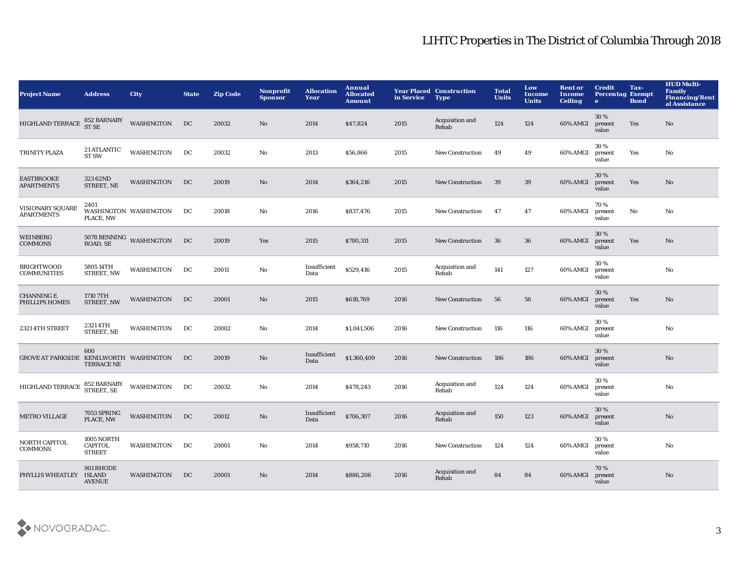| <b>Project Name</b>                     | <b>Address</b>                                | City                                    | <b>State</b> | <b>Zip Code</b> | <b>Nonprofit</b><br><b>Sponsor</b> | <b>Allocation</b><br>Year | Annual<br><b>Allocated</b><br><b>Amount</b> | in Service | <b>Year Placed Construction</b><br><b>Type</b> | <b>Total</b><br><b>Units</b> | Low<br><b>Income</b><br><b>Units</b> | <b>Rent or</b><br>Income<br><b>Ceiling</b> | <b>Credit</b><br><b>Percentag Exempt</b><br>e | Tax-<br><b>Bond</b> | <b>HUD Multi-</b><br><b>Family</b><br><b>Financing/Rent</b><br>al Assistance |
|-----------------------------------------|-----------------------------------------------|-----------------------------------------|--------------|-----------------|------------------------------------|---------------------------|---------------------------------------------|------------|------------------------------------------------|------------------------------|--------------------------------------|--------------------------------------------|-----------------------------------------------|---------------------|------------------------------------------------------------------------------|
| HIGHLAND TERRACE                        | 852 BARNABY<br>ST SE                          | <b>WASHINGTON</b>                       | DC           | 20032           | No.                                | 2014                      | \$47,824                                    | 2015       | Acquisition and<br>Rehab                       | 124                          | 124                                  | 60% AMGI                                   | 30%<br>present<br>value                       | Yes                 | No                                                                           |
| TRINITY PLAZA                           | <b>21 ATLANTIC</b><br><b>ST SW</b>            | <b>WASHINGTON</b>                       | DC           | 20032           | No                                 | 2013                      | \$56,866                                    | 2015       | <b>New Construction</b>                        | 49                           | 49                                   | 60% AMGI                                   | 30%<br>present<br>value                       | Yes                 | No                                                                           |
| <b>EASTBROOKE</b><br><b>APARTMENTS</b>  | 323 62ND<br>STREET, NE                        | <b>WASHINGTON</b>                       | DC           | 20019           | No                                 | 2014                      | \$364,216                                   | 2015       | <b>New Construction</b>                        | 39                           | 39                                   | 60% AMGI                                   | 30%<br>present<br>value                       | Yes                 | No                                                                           |
| VISIONARY SQUARE<br><b>APARTMENTS</b>   | 2401<br>PLACE, NW                             | WASHINGTON WASHINGTON                   | DC           | 20018           | No                                 | 2016                      | \$837,476                                   | 2015       | <b>New Construction</b>                        | 47                           | 47                                   | 60% AMGI                                   | 70%<br>present<br>value                       | No                  | No                                                                           |
| <b>WEINBERG</b><br><b>COMMONS</b>       |                                               | $5078$ BENNING $\,$ WASHINGTON ROAD, SE | DC           | 20019           | Yes                                | 2015                      | \$780,311                                   | 2015       | <b>New Construction</b>                        | 36                           | 36                                   | 60% AMGI                                   | 30%<br>present<br>value                       | Yes                 | No                                                                           |
| <b>BRIGHTWOOD</b><br><b>COMMUNITIES</b> | 5805 14TH<br><b>STREET, NW</b>                | <b>WASHINGTON</b>                       | DC           | 20011           | No                                 | Insufficient<br>Data      | \$529,416                                   | 2015       | Acquisition and<br>Rehab                       | 141                          | 127                                  | 60% AMGI                                   | 30%<br>present<br>value                       |                     | No                                                                           |
| <b>CHANNING E.</b><br>PHILLIPS HOMES    | 1710 7TH<br>STREET, NW                        | <b>WASHINGTON</b>                       | DC           | 20001           | No                                 | 2015                      | \$618,769                                   | 2016       | <b>New Construction</b>                        | 56                           | 56                                   | 60% AMGI                                   | 30%<br>present<br>value                       | Yes                 | No                                                                           |
| 2321 4TH STREET                         | 23214TH<br>STREET, NE                         | <b>WASHINGTON</b>                       | DC           | 20002           | No                                 | 2014                      | \$1,041,506                                 | 2016       | <b>New Construction</b>                        | 116                          | 116                                  | 60% AMGI                                   | 30%<br>present<br>value                       |                     | No                                                                           |
| GROVE AT PARKSIDE KENILWORTH WASHINGTON | 600<br><b>TERRACE NE</b>                      |                                         | DC           | 20019           | No.                                | Insufficient<br>Data      | \$1,360,409                                 | 2016       | <b>New Construction</b>                        | 186                          | 186                                  | 60% AMGI                                   | 30%<br>present<br>value                       |                     | No                                                                           |
| <b>HIGHLAND TERRACE</b>                 | 852 BARNABY<br>STREET, SE                     | <b>WASHINGTON</b>                       | DC           | 20032           | No                                 | 2014                      | \$478,243                                   | 2016       | Acquisition and<br>Rehab                       | 124                          | 124                                  | 60% AMGI                                   | 30%<br>present<br>value                       |                     | No                                                                           |
| <b>METRO VILLAGE</b>                    | 7053 SPRING<br>PLACE, NW                      | <b>WASHINGTON</b>                       | DC           | 20012           | No                                 | Insufficient<br>Data      | \$706,307                                   | 2016       | Acquisition and<br>Rehab                       | 150                          | 123                                  | 60% AMGI                                   | 30%<br>present<br>value                       |                     | No                                                                           |
| NORTH CAPITOL<br><b>COMMONS</b>         | 1005 NORTH<br><b>CAPITOL</b><br><b>STREET</b> | WASHINGTON                              | DC           | 20001           | No                                 | 2014                      | \$958,710                                   | 2016       | <b>New Construction</b>                        | 124                          | 124                                  | 60% AMGI                                   | 30%<br>present<br>value                       |                     | No                                                                           |
| PHYLLIS WHEATLEY                        | 901 RHODE<br><b>ISLAND</b><br><b>AVENUE</b>   | <b>WASHINGTON</b>                       | DC           | 20001           | No                                 | 2014                      | \$886,206                                   | 2016       | Acquisition and<br>Rehab                       | 84                           | 84                                   | 60% AMGI                                   | 70%<br>present<br>value                       |                     | No                                                                           |

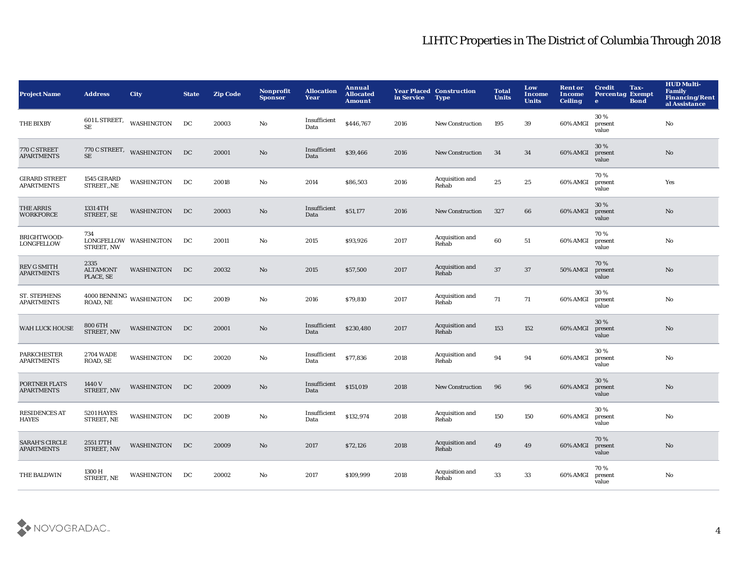| <b>Project Name</b>                        | <b>Address</b>                       | City                                     | <b>State</b> | <b>Zip Code</b> | Nonprofit<br><b>Sponsor</b> | <b>Allocation</b><br>Year | Annual<br><b>Allocated</b><br><b>Amount</b> | in Service | <b>Year Placed Construction</b><br><b>Type</b> | <b>Total</b><br><b>Units</b> | Low<br>Income<br><b>Units</b> | <b>Rent or</b><br>Income<br><b>Ceiling</b> | Tax-<br><b>Credit</b><br><b>Percentag Exempt</b><br><b>Bond</b><br>$\bullet$ | <b>HUD Multi-</b><br><b>Family</b><br><b>Financing/Rent</b><br>al Assistance |
|--------------------------------------------|--------------------------------------|------------------------------------------|--------------|-----------------|-----------------------------|---------------------------|---------------------------------------------|------------|------------------------------------------------|------------------------------|-------------------------------|--------------------------------------------|------------------------------------------------------------------------------|------------------------------------------------------------------------------|
| THE BIXBY                                  | <b>SE</b>                            | 601 L STREET, WASHINGTON                 | DC           | 20003           | No                          | Insufficient<br>Data      | \$446,767                                   | 2016       | <b>New Construction</b>                        | 195                          | 39                            | 60% AMGI                                   | 30%<br>present<br>value                                                      | $\mathbf{No}$                                                                |
| 770 C STREET<br><b>APARTMENTS</b>          | <b>SE</b>                            | 770 C STREET, WASHINGTON                 | DC           | 20001           | $\mathbf{N}\mathbf{o}$      | Insufficient<br>Data      | \$39,466                                    | 2016       | <b>New Construction</b>                        | 34                           | 34                            | 60% AMGI                                   | 30 %<br>present<br>value                                                     | $\mathbf{N}\mathbf{o}$                                                       |
| <b>GIRARD STREET</b><br><b>APARTMENTS</b>  | 1545 GIRARD<br>STREET,,NE            | <b>WASHINGTON</b>                        | DC           | 20018           | No                          | 2014                      | \$86,503                                    | 2016       | Acquisition and<br>Rehab                       | 25                           | 25                            | 60% AMGI                                   | 70%<br>present<br>value                                                      | Yes                                                                          |
| THE ARRIS<br><b>WORKFORCE</b>              | 1331 4TH<br>STREET, SE               | WASHINGTON                               | DC           | 20003           | No                          | Insufficient<br>Data      | \$51,177                                    | 2016       | <b>New Construction</b>                        | 327                          | 66                            | 60% AMGI                                   | 30%<br>present<br>value                                                      | $\mathbf{N}\mathbf{o}$                                                       |
| BRIGHTWOOD-<br>LONGFELLOW                  | 734<br>STREET, NW                    | LONGFELLOW WASHINGTON                    | DC           | 20011           | No                          | 2015                      | \$93,926                                    | 2017       | Acquisition and<br>Rehab                       | 60                           | 51                            | 60% AMGI                                   | 70%<br>present<br>value                                                      | No                                                                           |
| <b>REV G SMITH</b><br><b>APARTMENTS</b>    | 2335<br><b>ALTAMONT</b><br>PLACE, SE | <b>WASHINGTON</b>                        | DC           | 20032           | No                          | 2015                      | \$57,500                                    | 2017       | Acquisition and<br>Rehab                       | 37                           | 37                            | 50% AMGI                                   | 70%<br>present<br>value                                                      | $\mathbf{N}\mathbf{o}$                                                       |
| <b>ST. STEPHENS</b><br><b>APARTMENTS</b>   |                                      | $4000\, \rm BENNING$ WASHINGTON ROAD, NE | DC           | 20019           | No                          | 2016                      | \$79,810                                    | 2017       | Acquisition and<br>Rehab                       | 71                           | 71                            | 60% AMGI                                   | 30%<br>present<br>value                                                      | No                                                                           |
| WAH LUCK HOUSE                             | 800 6TH<br>STREET, NW                | WASHINGTON                               | DC           | 20001           | No                          | Insufficient<br>Data      | \$230,480                                   | 2017       | Acquisition and<br>Rehab                       | 153                          | 152                           | 60% AMGI                                   | 30 %<br>present<br>value                                                     | No                                                                           |
| PARKCHESTER<br><b>APARTMENTS</b>           | <b>2704 WADE</b><br>ROAD, SE         | <b>WASHINGTON</b>                        | DC           | 20020           | No                          | Insufficient<br>Data      | \$77,836                                    | 2018       | Acquisition and<br>Rehab                       | 94                           | 94                            | 60% AMGI                                   | 30%<br>present<br>value                                                      | No                                                                           |
| PORTNER FLATS<br><b>APARTMENTS</b>         | 1440 V<br>STREET, NW                 | <b>WASHINGTON</b>                        | DC           | 20009           | No                          | Insufficient<br>Data      | \$151,019                                   | 2018       | <b>New Construction</b>                        | 96                           | 96                            | 60% AMGI                                   | 30%<br>present<br>value                                                      | No                                                                           |
| <b>RESIDENCES AT</b><br><b>HAYES</b>       | 5201 HAYES<br>STREET, NE             | <b>WASHINGTON</b>                        | DC           | 20019           | No                          | Insufficient<br>Data      | \$132,974                                   | 2018       | Acquisition and<br>Rehab                       | 150                          | 150                           | 60% AMGI                                   | 30%<br>present<br>value                                                      | No                                                                           |
| <b>SARAH'S CIRCLE</b><br><b>APARTMENTS</b> | 255117TH<br>STREET, NW               | WASHINGTON                               | DC           | 20009           | No.                         | 2017                      | \$72,126                                    | 2018       | Acquisition and<br>Rehab                       | 49                           | 49                            | 60% AMGI                                   | 70%<br>present<br>value                                                      | No                                                                           |
| THE BALDWIN                                | 1300 H<br>STREET, NE                 | WASHINGTON                               | DC           | 20002           | No                          | 2017                      | \$109,999                                   | 2018       | Acquisition and<br>Rehab                       | 33                           | 33                            | 60% AMGI                                   | 70%<br>present<br>value                                                      | No                                                                           |

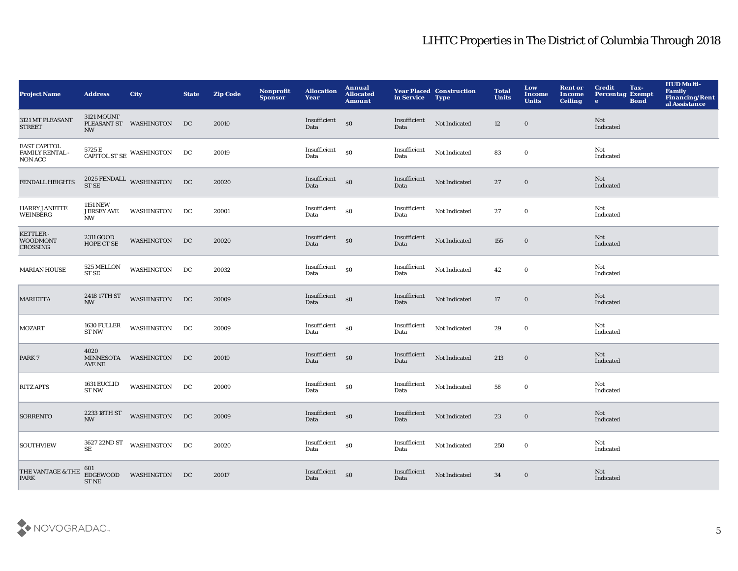| <b>Project Name</b>                               | <b>Address</b>                                    | <b>City</b>                                                             | <b>State</b> | <b>Zip Code</b> | Nonprofit<br><b>Sponsor</b> | <b>Allocation</b><br>Year | Annual<br><b>Allocated</b><br><b>Amount</b>      | in Service           | <b>Year Placed Construction</b><br><b>Type</b> | <b>Total</b><br><b>Units</b> | Low<br><b>Income</b><br><b>Units</b> | <b>Rent or</b><br><b>Income</b><br><b>Ceiling</b> | <b>Credit</b><br><b>Percentag Exempt</b><br>$\mathbf{e}$ | Tax-<br><b>Bond</b> | <b>HUD Multi-</b><br>Family<br>Financing/Rent<br>al Assistance |
|---------------------------------------------------|---------------------------------------------------|-------------------------------------------------------------------------|--------------|-----------------|-----------------------------|---------------------------|--------------------------------------------------|----------------------|------------------------------------------------|------------------------------|--------------------------------------|---------------------------------------------------|----------------------------------------------------------|---------------------|----------------------------------------------------------------|
| 3121 MT PLEASANT<br><b>STREET</b>                 | 3121 MOUNT<br><b>NW</b>                           | PLEASANT ST WASHINGTON                                                  | DC           | 20010           |                             | Insufficient<br>Data      | $\$0$                                            | Insufficient<br>Data | Not Indicated                                  | 12                           | $\mathbf 0$                          |                                                   | Not<br>Indicated                                         |                     |                                                                |
| <b>EAST CAPITOL</b><br>FAMILY RENTAL -<br>NON ACC |                                                   | $5725\,\mathrm{E}$ $\,$ CAPITOL ST SE $\,$ WASHINGTON $\,$ $\,$ DC $\,$ |              | 20019           |                             | Insufficient<br>Data      | \$0                                              | Insufficient<br>Data | Not Indicated                                  | 83                           | $\mathbf 0$                          |                                                   | Not<br>Indicated                                         |                     |                                                                |
| <b>FENDALL HEIGHTS</b>                            |                                                   | $2025$ FENDALL $\,$ WASHINGTON ST SE                                    | DC           | 20020           |                             | Insufficient<br>Data      | $\mathbf{S}$                                     | Insufficient<br>Data | Not Indicated                                  | 27                           | $\mathbf 0$                          |                                                   | Not<br>Indicated                                         |                     |                                                                |
| HARRY JANETTE<br>WEINBERG                         | <b>1151 NEW</b><br><b>JERSEY AVE</b><br><b>NW</b> | <b>WASHINGTON</b>                                                       | DC           | 20001           |                             | Insufficient<br>Data      | $\$0$                                            | Insufficient<br>Data | Not Indicated                                  | 27                           | $\bf{0}$                             |                                                   | Not<br>Indicated                                         |                     |                                                                |
| KETTLER-<br><b>WOODMONT</b><br>CROSSING           | 2311 GOOD<br>HOPE CT SE                           | WASHINGTON                                                              | DC           | 20020           |                             | Insufficient<br>Data      | \$0                                              | Insufficient<br>Data | Not Indicated                                  | 155                          | $\boldsymbol{0}$                     |                                                   | <b>Not</b><br>Indicated                                  |                     |                                                                |
| <b>MARIAN HOUSE</b>                               | $525\,\mathrm{MELLON}$<br>ST <sub>SE</sub>        | WASHINGTON                                                              | DC           | 20032           |                             | Insufficient<br>Data      | $\mathbf{S}$                                     | Insufficient<br>Data | Not Indicated                                  | 42                           | $\bf{0}$                             |                                                   | Not<br>Indicated                                         |                     |                                                                |
| <b>MARIETTA</b>                                   | 2418 17TH ST<br><b>NW</b>                         | <b>WASHINGTON</b>                                                       | DC           | 20009           |                             | Insufficient<br>Data      | $\boldsymbol{\mathsf{S}}\boldsymbol{\mathsf{O}}$ | Insufficient<br>Data | Not Indicated                                  | 17                           | $\bf{0}$                             |                                                   | Not<br>Indicated                                         |                     |                                                                |
| <b>MOZART</b>                                     | $1630\rm\, FULLER$<br><b>ST NW</b>                | WASHINGTON                                                              | DC           | 20009           |                             | Insufficient<br>Data      | \$0                                              | Insufficient<br>Data | Not Indicated                                  | 29                           | $\mathbf 0$                          |                                                   | Not<br>Indicated                                         |                     |                                                                |
| PARK 7                                            | 4020<br>AVE NE                                    | MINNESOTA WASHINGTON                                                    | DC           | 20019           |                             | Insufficient<br>Data      | \$0                                              | Insufficient<br>Data | Not Indicated                                  | 213                          | $\mathbf 0$                          |                                                   | Not<br>Indicated                                         |                     |                                                                |
| <b>RITZ APTS</b>                                  | 1631 EUCLID<br><b>ST NW</b>                       | WASHINGTON                                                              | DC           | 20009           |                             | Insufficient<br>Data      | $\mathbf{S}$                                     | Insufficient<br>Data | Not Indicated                                  | 58                           | $\bf{0}$                             |                                                   | Not<br>Indicated                                         |                     |                                                                |
| <b>SORRENTO</b>                                   | $\mathbf{NW}$                                     | 2233 18TH ST WASHINGTON                                                 | DC           | 20009           |                             | Insufficient<br>Data      | $\mathbf{s}$ o                                   | Insufficient<br>Data | Not Indicated                                  | 23                           | $\boldsymbol{0}$                     |                                                   | <b>Not</b><br>Indicated                                  |                     |                                                                |
| <b>SOUTHVIEW</b>                                  | 3627 22ND ST<br><b>SE</b>                         | WASHINGTON                                                              | DC           | 20020           |                             | Insufficient<br>Data      | \$0                                              | Insufficient<br>Data | Not Indicated                                  | 250                          | $\bf{0}$                             |                                                   | Not<br>Indicated                                         |                     |                                                                |
| THE VANTAGE & THE<br><b>PARK</b>                  | 601<br><b>EDGEWOOD</b><br>${\rm ST\,NE}$          | <b>WASHINGTON</b>                                                       | DC           | 20017           |                             | Insufficient<br>Data      | \$0                                              | Insufficient<br>Data | Not Indicated                                  | 34                           | $\bf{0}$                             |                                                   | Not<br>Indicated                                         |                     |                                                                |

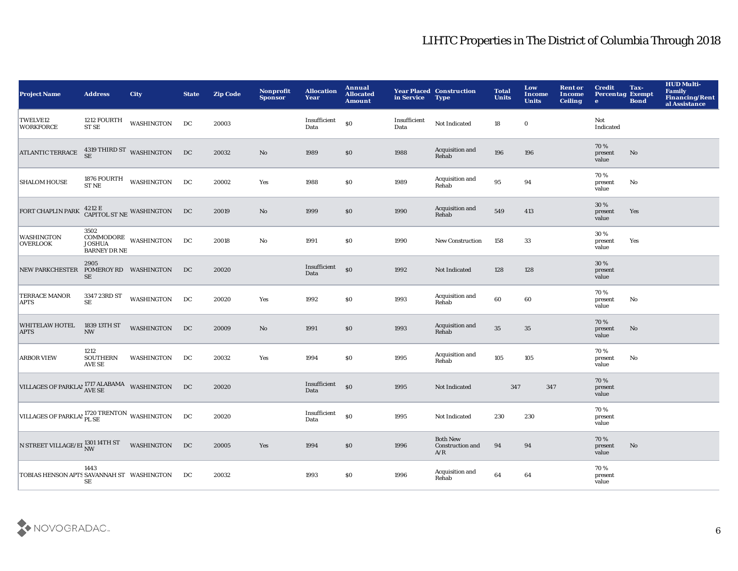| <b>Project Name</b>                                  | <b>Address</b>                      | <b>City</b>                               | <b>State</b> | <b>Zip Code</b> | <b>Nonprofit</b><br><b>Sponsor</b> | <b>Allocation</b><br>Year | Annual<br><b>Allocated</b><br><b>Amount</b> | in Service           | <b>Year Placed Construction</b><br><b>Type</b> | <b>Total</b><br><b>Units</b> | Low<br>Income<br><b>Units</b> | <b>Rent or</b><br>Income<br><b>Ceiling</b> | <b>Credit</b><br><b>Percentag Exempt</b><br>$\bullet$ | Tax-<br><b>Bond</b>    | <b>HUD Multi-</b><br><b>Family</b><br>Financing/Rent<br>al Assistance |
|------------------------------------------------------|-------------------------------------|-------------------------------------------|--------------|-----------------|------------------------------------|---------------------------|---------------------------------------------|----------------------|------------------------------------------------|------------------------------|-------------------------------|--------------------------------------------|-------------------------------------------------------|------------------------|-----------------------------------------------------------------------|
| <b>TWELVE12</b><br><b>WORKFORCE</b>                  | 1212 FOURTH<br><b>ST SE</b>         | WASHINGTON                                | DC           | 20003           |                                    | Insufficient<br>Data      | \$0                                         | Insufficient<br>Data | Not Indicated                                  | 18                           | $\boldsymbol{0}$              |                                            | Not<br>Indicated                                      |                        |                                                                       |
| <b>ATLANTIC TERRACE</b>                              |                                     | $4319$ THIRD ST $\,$ WASHINGTON SE        | DC           | 20032           | No                                 | 1989                      | \$0                                         | 1988                 | Acquisition and<br>Rehab                       | 196                          | 196                           |                                            | 70%<br>present<br>value                               | No                     |                                                                       |
| <b>SHALOM HOUSE</b>                                  | <b>ST NE</b>                        | 1876 FOURTH WASHINGTON                    | DC           | 20002           | Yes                                | 1988                      | \$0                                         | 1989                 | Acquisition and<br>Rehab                       | 95                           | 94                            |                                            | 70%<br>present<br>value                               | No                     |                                                                       |
| FORT CHAPLIN PARK                                    |                                     | $4212$ E $$\tt CAPTOL$ ST $NE$ WASHINGTON | DC           | 20019           | No                                 | 1999                      | \$0                                         | 1990                 | Acquisition and<br>Rehab                       | 549                          | 413                           |                                            | 30 %<br>present<br>value                              | Yes                    |                                                                       |
| WASHINGTON<br><b>OVERLOOK</b>                        | 3502<br><b>BARNEY DR NE</b>         | COMMODORE WASHINGTON<br>JOSHUA            | DC           | 20018           | No                                 | 1991                      | \$0                                         | 1990                 | <b>New Construction</b>                        | 158                          | 33                            |                                            | 30 %<br>present<br>value                              | Yes                    |                                                                       |
| <b>NEW PARKCHESTER</b>                               | 2905<br>POMEROY RD WASHINGTON<br>SE |                                           | DC           | 20020           |                                    | Insufficient<br>Data      | $\mathbf{s}$ o                              | 1992                 | Not Indicated                                  | 128                          | 128                           |                                            | 30 %<br>present<br>value                              |                        |                                                                       |
| <b>TERRACE MANOR</b><br><b>APTS</b>                  | 3347 23RD ST<br>$\rm SE$            | <b>WASHINGTON</b>                         | DC           | 20020           | Yes                                | 1992                      | $\$0$                                       | 1993                 | Acquisition and<br>Rehab                       | 60                           | 60                            |                                            | 70%<br>present<br>value                               | No                     |                                                                       |
| <b>WHITELAW HOTEL</b><br><b>APTS</b>                 | 1839 13TH ST<br><b>NW</b>           | <b>WASHINGTON</b>                         | DC           | 20009           | No                                 | 1991                      | \$0                                         | 1993                 | Acquisition and<br>Rehab                       | 35                           | 35                            |                                            | 70%<br>present<br>value                               | No                     |                                                                       |
| <b>ARBOR VIEW</b>                                    | 1212<br><b>SOUTHERN</b><br>AVE SE   | WASHINGTON                                | DC           | 20032           | Yes                                | 1994                      | $\$0$                                       | 1995                 | Acquisition and<br>Rehab                       | 105                          | 105                           |                                            | 70%<br>present<br>value                               | No                     |                                                                       |
| VILLAGES OF PARKLAP 1717 ALABAMA WASHINGTON          |                                     |                                           | DC           | 20020           |                                    | Insufficient<br>Data      | $\boldsymbol{\mathsf{S}}$                   | 1995                 | Not Indicated                                  | 347                          | 347                           |                                            | 70%<br>present<br>value                               |                        |                                                                       |
| VILLAGES OF PARKLAP 1720 TRENTON WASHINGTON          |                                     |                                           | DC           | 20020           |                                    | Insufficient<br>Data      | $\boldsymbol{\mathsf{S}}$                   | 1995                 | Not Indicated                                  | 230                          | 230                           |                                            | 70%<br>present<br>value                               |                        |                                                                       |
| N STREET VILLAGE/EI $_{\rm NW}^{1301\,14\rm TH\,ST}$ |                                     | <b>WASHINGTON</b>                         | DC           | 20005           | Yes                                | 1994                      | \$0                                         | 1996                 | <b>Both New</b><br>Construction and<br>A/R     | 94                           | 94                            |                                            | 70 %<br>present<br>value                              | $\mathbf{N}\mathbf{o}$ |                                                                       |
| TOBIAS HENSON APTS SAVANNAH ST WASHINGTON            | 1443<br>SЕ                          |                                           | DC           | 20032           |                                    | 1993                      | \$0                                         | 1996                 | Acquisition and<br>Rehab                       | 64                           | 64                            |                                            | 70%<br>present<br>value                               |                        |                                                                       |

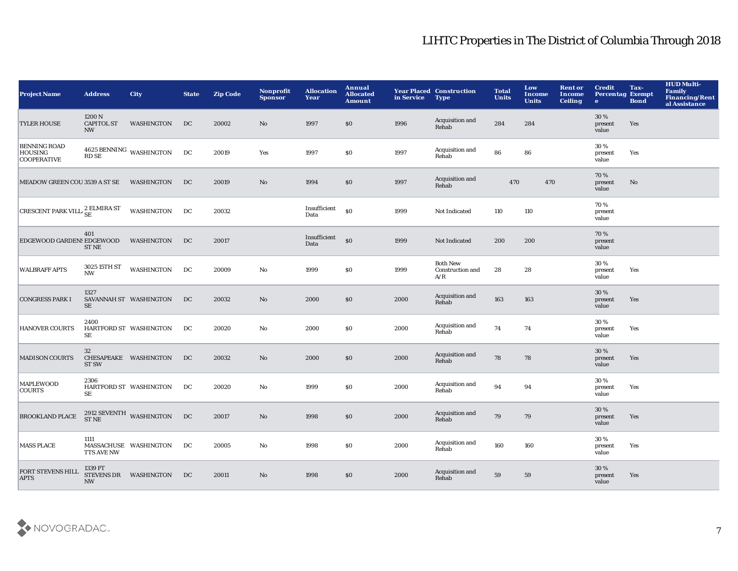| <b>Project Name</b>                                         | <b>Address</b>                           | <b>City</b>                          | <b>State</b> | <b>Zip Code</b> | Nonprofit<br><b>Sponsor</b> | <b>Allocation</b><br>Year | Annual<br><b>Allocated</b><br><b>Amount</b> | in Service | <b>Year Placed Construction</b><br><b>Type</b> | <b>Total</b><br><b>Units</b> | Low<br><b>Income</b><br><b>Units</b> | <b>Rent or</b><br><b>Income</b><br><b>Ceiling</b> | <b>Credit</b><br><b>Percentag Exempt</b><br>$\mathbf{e}$ | Tax-<br><b>Bond</b> | <b>HUD Multi-</b><br>Family<br>Financing/Rent<br>al Assistance |
|-------------------------------------------------------------|------------------------------------------|--------------------------------------|--------------|-----------------|-----------------------------|---------------------------|---------------------------------------------|------------|------------------------------------------------|------------------------------|--------------------------------------|---------------------------------------------------|----------------------------------------------------------|---------------------|----------------------------------------------------------------|
| <b>TYLER HOUSE</b>                                          | 1200 N<br><b>CAPITOL ST</b><br><b>NW</b> | WASHINGTON                           | DC           | 20002           | No                          | 1997                      | \$0                                         | 1996       | Acquisition and<br>Rehab                       | 284                          | 284                                  |                                                   | 30%<br>present<br>value                                  | Yes                 |                                                                |
| <b>BENNING ROAD</b><br><b>HOUSING</b><br><b>COOPERATIVE</b> |                                          | $4625$ BENNING $\,$ WASHINGTON RD SE | DC           | 20019           | Yes                         | 1997                      | \$0                                         | 1997       | Acquisition and<br>Rehab                       | 86                           | 86                                   |                                                   | 30%<br>present<br>value                                  | Yes                 |                                                                |
| MEADOW GREEN COU 3539 A ST SE                               |                                          | WASHINGTON                           | DC           | 20019           | $\mathbf {No}$              | 1994                      | \$0                                         | 1997       | Acquisition and<br>Rehab                       | 470                          | 470                                  |                                                   | 70%<br>present<br>value                                  | No                  |                                                                |
| CRESCENT PARK VILL $_{\rm SE}^2$ ELMIRA ST                  |                                          | WASHINGTON                           | DC           | 20032           |                             | Insufficient<br>Data      | \$0                                         | 1999       | Not Indicated                                  | 110                          | 110                                  |                                                   | 70%<br>present<br>value                                  |                     |                                                                |
| EDGEWOOD GARDENS EDGEWOOD                                   | 401<br><b>ST NE</b>                      | WASHINGTON                           | DC           | 20017           |                             | Insufficient<br>Data      | \$0                                         | 1999       | Not Indicated                                  | 200                          | 200                                  |                                                   | 70%<br>present<br>value                                  |                     |                                                                |
| <b>WALBRAFF APTS</b>                                        | 3025 15TH ST<br><b>NW</b>                | WASHINGTON                           | DC           | 20009           | No                          | 1999                      | \$0                                         | 1999       | <b>Both New</b><br>Construction and<br>A/R     | 28                           | 28                                   |                                                   | 30 %<br>present<br>value                                 | Yes                 |                                                                |
| <b>CONGRESS PARK I</b>                                      | 1327<br>SE                               | SAVANNAH ST WASHINGTON               | DC           | 20032           | $\mathbf{No}$               | 2000                      | \$0                                         | 2000       | Acquisition and<br>Rehab                       | 163                          | 163                                  |                                                   | $30\,\%$<br>present<br>value                             | Yes                 |                                                                |
| <b>HANOVER COURTS</b>                                       | 2400<br>SE                               | HARTFORD ST WASHINGTON               | DC           | 20020           | No                          | 2000                      | \$0                                         | 2000       | Acquisition and<br>Rehab                       | 74                           | 74                                   |                                                   | 30%<br>present<br>value                                  | Yes                 |                                                                |
| <b>MADISON COURTS</b>                                       | 32<br><b>ST SW</b>                       | CHESAPEAKE WASHINGTON                | DC           | 20032           | $\mathbf{No}$               | 2000                      | \$0                                         | 2000       | Acquisition and<br>Rehab                       | 78                           | 78                                   |                                                   | 30 %<br>present<br>value                                 | Yes                 |                                                                |
| <b>MAPLEWOOD</b><br><b>COURTS</b>                           | 2306<br>SE                               | HARTFORD ST WASHINGTON               | DC           | 20020           | $\mathbf {No}$              | 1999                      | \$0                                         | 2000       | Acquisition and<br>Rehab                       | 94                           | 94                                   |                                                   | 30%<br>present<br>value                                  | Yes                 |                                                                |
| <b>BROOKLAND PLACE</b>                                      |                                          | $2912$ SEVENTH $\,$ WASHINGTON ST NE | DC           | 20017           | $\mathbf{No}$               | 1998                      | \$0                                         | 2000       | Acquisition and<br>Rehab                       | 79                           | 79                                   |                                                   | 30 %<br>present<br>value                                 | Yes                 |                                                                |
| <b>MASS PLACE</b>                                           | 1111<br>TTS AVE NW                       | MASSACHUSE WASHINGTON                | DC           | 20005           | No                          | 1998                      | <b>SO</b>                                   | 2000       | Acquisition and<br>Rehab                       | 160                          | 160                                  |                                                   | 30%<br>present<br>value                                  | Yes                 |                                                                |
| <b>FORT STEVENS HILL</b><br><b>APTS</b>                     | 1339 FT<br><b>NW</b>                     | STEVENS DR WASHINGTON                | DC           | 20011           | No                          | 1998                      | \$0                                         | 2000       | Acquisition and<br>Rehab                       | 59                           | 59                                   |                                                   | 30 %<br>present<br>value                                 | Yes                 |                                                                |

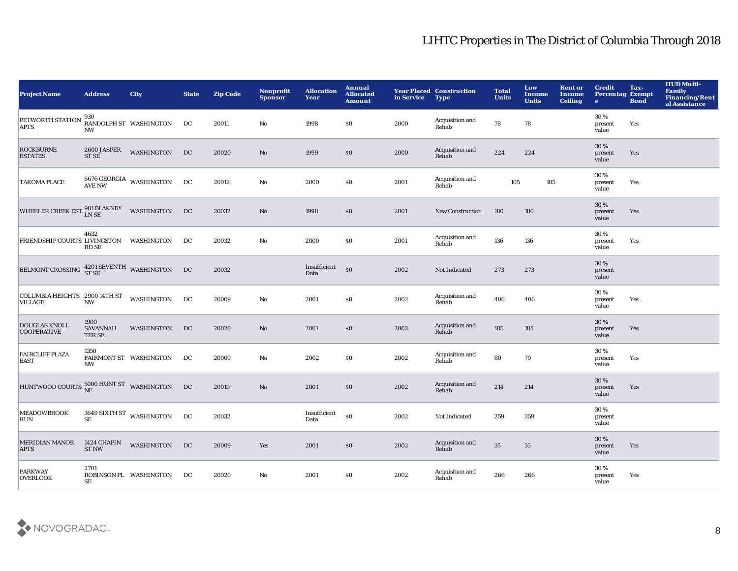| <b>Project Name</b>                                | <b>Address</b>                     | <b>City</b>                      | <b>State</b> | <b>Zip Code</b> | Nonprofit<br><b>Sponsor</b> | <b>Allocation</b><br>Year | Annual<br><b>Allocated</b><br><b>Amount</b> | in Service | <b>Year Placed Construction</b><br><b>Type</b> | <b>Total</b><br><b>Units</b> | Low<br><b>Income</b><br><b>Units</b> | <b>Rent or</b><br><b>Income</b><br><b>Ceiling</b> | <b>Credit</b><br><b>Percentag Exempt</b><br>$\mathbf{e}$ | Tax-<br><b>Bond</b> | <b>HUD Multi-</b><br>Family<br><b>Financing/Rent</b><br>al Assistance |
|----------------------------------------------------|------------------------------------|----------------------------------|--------------|-----------------|-----------------------------|---------------------------|---------------------------------------------|------------|------------------------------------------------|------------------------------|--------------------------------------|---------------------------------------------------|----------------------------------------------------------|---------------------|-----------------------------------------------------------------------|
| PETWORTH STATION<br><b>APTS</b>                    | <b>NW</b>                          | 930<br>RANDOLPH ST WASHINGTON    | DC           | 20011           | No                          | 1998                      | S <sub>0</sub>                              | 2000       | Acquisition and<br>Rehab                       | 78                           | 78                                   |                                                   | 30%<br>present<br>value                                  | Yes                 |                                                                       |
| <b>ROCKBURNE</b><br><b>ESTATES</b>                 | 2600 JASPER<br>ST SE               | WASHINGTON                       | DC           | 20020           | $\mathbf {No}$              | 1999                      | $\$0$                                       | 2000       | Acquisition and<br>Rehab                       | 224                          | 224                                  |                                                   | 30%<br>present<br>value                                  | Yes                 |                                                                       |
| <b>TAKOMA PLACE</b>                                |                                    | $6676$ GEORGIA WASHINGTON AVE NW | DC           | 20012           | $\mathbf{No}$               | 2000                      | \$0                                         | 2001       | Acquisition and<br>Rehab                       | 105                          | 105                                  |                                                   | 30%<br>present<br>value                                  | Yes                 |                                                                       |
| WHEELER CREEK EST. $^{901}_{\rm LN\,SE}$           |                                    | <b>WASHINGTON</b>                | DC           | 20032           | No                          | 1998                      | \$0                                         | 2001       | <b>New Construction</b>                        | 180                          | 180                                  |                                                   | 30%<br>present<br>value                                  | Yes                 |                                                                       |
| FRIENDSHIP COURTS LIVINGSTON WASHINGTON            | 4632<br><b>RD SE</b>               |                                  | DC           | 20032           | $\mathbf{No}$               | 2000                      | \$0                                         | 2001       | Acquisition and<br>Rehab                       | 136                          | 136                                  |                                                   | 30%<br>present<br>value                                  | Yes                 |                                                                       |
| BELMONT CROSSING $^{4201}_{\rm ST\,SE}$ WASHINGTON |                                    |                                  | DC           | 20032           |                             | Insufficient<br>Data      | $\boldsymbol{\mathsf{S}}$                   | 2002       | Not Indicated                                  | 273                          | 273                                  |                                                   | 30 %<br>present<br>value                                 |                     |                                                                       |
| COLUMBIA HEIGHTS 2900 14TH ST<br><b>VILLAGE</b>    | <b>NW</b>                          | WASHINGTON                       | DC           | 20009           | $\mathbf{No}$               | 2001                      | \$0                                         | 2002       | Acquisition and<br>Rehab                       | 406                          | 406                                  |                                                   | 30%<br>present<br>value                                  | Yes                 |                                                                       |
| <b>DOUGLAS KNOLL</b><br><b>COOPERATIVE</b>         | 1900<br><b>SAVANNAH</b><br>TER SE  | WASHINGTON                       | DC           | 20020           | $\mathbf{N}\mathbf{o}$      | 2001                      | \$0                                         | 2002       | Acquisition and<br>Rehab                       | 185                          | 185                                  |                                                   | 30 %<br>present<br>value                                 | Yes                 |                                                                       |
| <b>FAIRCLIFF PLAZA</b><br><b>EAST</b>              | 1350<br>NW                         | FAIRMONT ST WASHINGTON           | DC           | 20009           | $\mathbf{No}$               | 2002                      | \$0                                         | 2002       | Acquisition and<br>Rehab                       | 80                           | 79                                   |                                                   | 30 %<br>present<br>value                                 | Yes                 |                                                                       |
| HUNTWOOD COURTS $^{5000}_{NE}$ HUNT ST WASHINGTON  |                                    |                                  | DC           | 20019           | $\mathbf{N}\mathbf{o}$      | 2001                      | \$0                                         | 2002       | Acquisition and<br>Rehab                       | 214                          | 214                                  |                                                   | 30%<br>present<br>value                                  | Yes                 |                                                                       |
| <b>MEADOWBROOK</b><br><b>RUN</b>                   | $\rm SE$                           | 3649 SIXTH ST WASHINGTON         | DC           | 20032           |                             | Insufficient<br>Data      | \$0                                         | 2002       | Not Indicated                                  | 259                          | 259                                  |                                                   | 30 %<br>present<br>value                                 |                     |                                                                       |
| <b>MERIDIAN MANOR</b><br><b>APTS</b>               | <b>1424 CHAPIN</b><br><b>ST NW</b> | <b>WASHINGTON</b>                | DC           | 20009           | Yes                         | 2001                      | \$0                                         | 2002       | Acquisition and<br>Rehab                       | 35                           | 35                                   |                                                   | 30%<br>present<br>value                                  | Yes                 |                                                                       |
| <b>PARKWAY</b><br><b>OVERLOOK</b>                  | 2701<br>SE                         | ROBINSON PL WASHINGTON           | DC           | 20020           | No                          | 2001                      | \$0                                         | 2002       | Acquisition and<br>Rehab                       | 266                          | 266                                  |                                                   | 30%<br>present<br>value                                  | Yes                 |                                                                       |

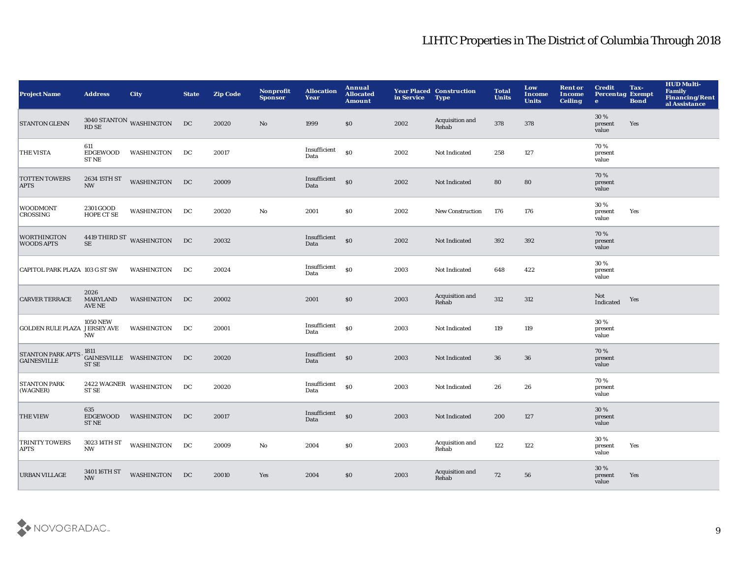| <b>Project Name</b>                            | <b>Address</b>                    | <b>City</b>                                                       | <b>State</b> | <b>Zip Code</b> | <b>Nonprofit</b><br><b>Sponsor</b> | <b>Allocation</b><br><b>Year</b> | <b>Annual</b><br><b>Allocated</b><br><b>Amount</b> | in Service Type | <b>Year Placed Construction</b> | <b>Total</b><br><b>Units</b> | Low<br><b>Income</b><br><b>Units</b> | <b>Rent or</b><br><b>Income</b><br><b>Ceiling</b> | <b>Credit</b><br><b>Percentag Exempt</b><br>$\bullet$ | Tax-<br><b>Bond</b> | <b>HUD Multi-</b><br>Family<br>Financing/Rent<br>al Assistance |
|------------------------------------------------|-----------------------------------|-------------------------------------------------------------------|--------------|-----------------|------------------------------------|----------------------------------|----------------------------------------------------|-----------------|---------------------------------|------------------------------|--------------------------------------|---------------------------------------------------|-------------------------------------------------------|---------------------|----------------------------------------------------------------|
| <b>STANTON GLENN</b>                           | <b>RD SE</b>                      | $3040 \, \text{STANTON} \quad \text{WASHINGTON} \qquad \text{DC}$ |              | 20020           | No                                 | 1999                             | \$0                                                | 2002            | Acquisition and<br>Rehab        | 378                          | 378                                  |                                                   | 30%<br>present<br>value                               | Yes                 |                                                                |
| <b>THE VISTA</b>                               | 611<br>EDGEWOOD<br><b>ST NE</b>   | WASHINGTON                                                        | DC           | 20017           |                                    | Insufficient<br>Data             | \$0                                                | 2002            | Not Indicated                   | 258                          | 127                                  |                                                   | 70%<br>present<br>value                               |                     |                                                                |
| <b>TOTTEN TOWERS</b><br><b>APTS</b>            | 2634 15TH ST<br><b>NW</b>         | <b>WASHINGTON</b>                                                 | DC           | 20009           |                                    | Insufficient<br>Data             | $\mathbf{S}$                                       | 2002            | Not Indicated                   | 80                           | 80                                   |                                                   | 70%<br>present<br>value                               |                     |                                                                |
| <b>WOODMONT</b><br><b>CROSSING</b>             | 2301 GOOD<br><b>HOPE CT SE</b>    | WASHINGTON                                                        | DC           | 20020           | $\mathbf{No}$                      | 2001                             | \$0                                                | 2002            | <b>New Construction</b>         | 176                          | 176                                  |                                                   | 30%<br>present<br>value                               | Yes                 |                                                                |
| <b>WORTHINGTON</b><br><b>WOODS APTS</b>        | $\rm SE$                          | 4419 THIRD ST WASHINGTON                                          | DC           | 20032           |                                    | Insufficient<br>Data             | $\boldsymbol{\mathsf{S}}$                          | 2002            | <b>Not Indicated</b>            | 392                          | 392                                  |                                                   | 70%<br>present<br>value                               |                     |                                                                |
| CAPITOL PARK PLAZA 103 G ST SW                 |                                   | WASHINGTON                                                        | DC           | 20024           |                                    | Insufficient<br>Data             | \$0                                                | 2003            | Not Indicated                   | 648                          | 422                                  |                                                   | 30 %<br>present<br>value                              |                     |                                                                |
| <b>CARVER TERRACE</b>                          | 2026<br><b>MARYLAND</b><br>AVE NE | WASHINGTON                                                        | DC           | 20002           |                                    | 2001                             | \$0                                                | 2003            | Acquisition and<br>Rehab        | 312                          | 312                                  |                                                   | Not<br>Indicated                                      | Yes                 |                                                                |
| GOLDEN RULE PLAZA JERSEY AVE                   | <b>1050 NEW</b><br><b>NW</b>      | WASHINGTON                                                        | DC           | 20001           |                                    | Insufficient<br>Data             | <sub>so</sub>                                      | 2003            | Not Indicated                   | 119                          | 119                                  |                                                   | 30 %<br>present<br>value                              |                     |                                                                |
| <b>STANTON PARK APTS</b><br><b>GAINESVILLE</b> | 1811<br>ST SE                     | GAINESVILLE WASHINGTON                                            | DC           | 20020           |                                    | Insufficient<br>Data             | \$0                                                | 2003            | Not Indicated                   | 36                           | 36                                   |                                                   | 70%<br>present<br>value                               |                     |                                                                |
| <b>STANTON PARK</b><br>(WAGNER)                | <b>ST SE</b>                      | $2422\text{ WAGNER}\xspace$ WASHINGTON                            | DC           | 20020           |                                    | Insufficient<br>Data             | <sub>so</sub>                                      | 2003            | Not Indicated                   | 26                           | 26                                   |                                                   | 70%<br>present<br>value                               |                     |                                                                |
| <b>THE VIEW</b>                                | 635<br><b>EDGEWOOD</b><br>ST NE   | WASHINGTON                                                        | DC           | 20017           |                                    | Insufficient<br>Data             | $\mathbf{S}$                                       | 2003            | Not Indicated                   | 200                          | 127                                  |                                                   | 30%<br>present<br>value                               |                     |                                                                |
| <b>TRINITY TOWERS</b><br><b>APTS</b>           | 3023 14TH ST<br><b>NW</b>         | <b>WASHINGTON</b>                                                 | DC           | 20009           | No                                 | 2004                             | \$0                                                | 2003            | Acquisition and<br>Rehab        | 122                          | 122                                  |                                                   | 30%<br>present<br>value                               | Yes                 |                                                                |
| <b>URBAN VILLAGE</b>                           | 3401 16TH ST<br><b>NW</b>         | WASHINGTON                                                        | DC           | 20010           | Yes                                | 2004                             | \$0                                                | 2003            | Acquisition and<br>Rehab        | 72                           | 56                                   |                                                   | 30%<br>present<br>value                               | Yes                 |                                                                |

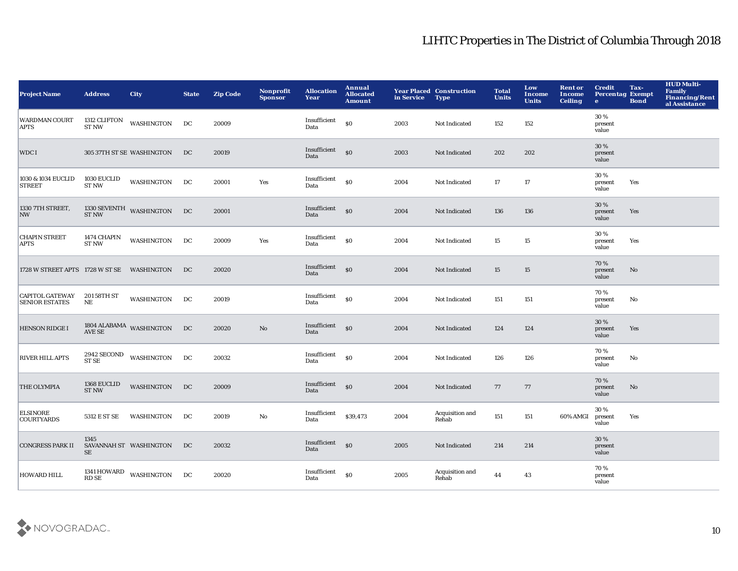| <b>Project Name</b>                                 | <b>Address</b>                     | <b>City</b>                               | <b>State</b> | <b>Zip Code</b> | Nonprofit<br><b>Sponsor</b> | <b>Allocation</b><br>Year | Annual<br><b>Allocated</b><br><b>Amount</b> | in Service | <b>Year Placed Construction</b><br><b>Type</b> | <b>Total</b><br><b>Units</b> | Low<br>Income<br><b>Units</b> | <b>Rent or</b><br>Income<br><b>Ceiling</b> | <b>Credit</b><br><b>Percentag Exempt</b><br>$\bullet$ | Tax-<br><b>Bond</b>    | <b>HUD Multi-</b><br><b>Family</b><br><b>Financing/Rent</b><br>al Assistance |
|-----------------------------------------------------|------------------------------------|-------------------------------------------|--------------|-----------------|-----------------------------|---------------------------|---------------------------------------------|------------|------------------------------------------------|------------------------------|-------------------------------|--------------------------------------------|-------------------------------------------------------|------------------------|------------------------------------------------------------------------------|
| <b>WARDMAN COURT</b><br><b>APTS</b>                 | 1312 CLIFTON<br><b>ST NW</b>       | WASHINGTON                                | DC           | 20009           |                             | Insufficient<br>Data      | $\$0$                                       | 2003       | Not Indicated                                  | 152                          | 152                           |                                            | 30%<br>present<br>value                               |                        |                                                                              |
| WDC I                                               |                                    | 305 37TH ST SE WASHINGTON                 | DC           | 20019           |                             | Insufficient<br>Data      | $\boldsymbol{\mathsf{S}}$                   | 2003       | Not Indicated                                  | 202                          | 202                           |                                            | 30 %<br>present<br>value                              |                        |                                                                              |
| 1030 & 1034 EUCLID<br><b>STREET</b>                 | 1030 EUCLID<br><b>ST NW</b>        | <b>WASHINGTON</b>                         | DC           | 20001           | Yes                         | Insufficient<br>Data      | S <sub>0</sub>                              | 2004       | Not Indicated                                  | 17                           | 17                            |                                            | 30 %<br>present<br>value                              | Yes                    |                                                                              |
| 1330 7TH STREET,<br><b>NW</b>                       |                                    | $1330\text{ SEVENTH}$ WASHINGTON DC ST NW |              | 20001           |                             | Insufficient<br>Data      | \$0                                         | 2004       | Not Indicated                                  | 136                          | 136                           |                                            | 30 %<br>present<br>value                              | Yes                    |                                                                              |
| <b>CHAPIN STREET</b><br><b>APTS</b>                 | <b>1474 CHAPIN</b><br><b>ST NW</b> | WASHINGTON                                | DC           | 20009           | Yes                         | Insufficient<br>Data      | \$0                                         | 2004       | Not Indicated                                  | 15                           | 15                            |                                            | 30%<br>present<br>value                               | Yes                    |                                                                              |
| 1728 W STREET APTS 1728 W ST SE WASHINGTON          |                                    |                                           | DC           | 20020           |                             | Insufficient<br>Data      | $\mathbf{S}$                                | 2004       | Not Indicated                                  | 15                           | 15                            |                                            | 70%<br>present<br>value                               | No                     |                                                                              |
| CAPITOL GATEWAY 20158TH ST<br><b>SENIOR ESTATES</b> | NE                                 | WASHINGTON                                | DC           | 20019           |                             | Insufficient<br>Data      | S <sub>0</sub>                              | 2004       | Not Indicated                                  | 151                          | 151                           |                                            | 70%<br>present<br>value                               | No                     |                                                                              |
| <b>HENSON RIDGE I</b>                               |                                    | $1804$ ALABAMA $\,$ WASHINGTON AVE SE     | DC           | 20020           | No                          | Insufficient<br>Data      | \$0                                         | 2004       | Not Indicated                                  | 124                          | 124                           |                                            | 30 %<br>present<br>value                              | Yes                    |                                                                              |
| <b>RIVER HILL APTS</b>                              | ST SE                              | 2942 SECOND WASHINGTON DC                 |              | 20032           |                             | Insufficient<br>Data      | \$0                                         | 2004       | Not Indicated                                  | 126                          | 126                           |                                            | 70%<br>present<br>value                               | No                     |                                                                              |
| <b>THE OLYMPIA</b>                                  | 1368 EUCLID<br><b>ST NW</b>        | WASHINGTON                                | DC           | 20009           |                             | Insufficient<br>Data      | $\boldsymbol{\mathsf{S}}$                   | 2004       | Not Indicated                                  | 77                           | 77                            |                                            | 70%<br>present<br>value                               | $\mathbf{N}\mathbf{o}$ |                                                                              |
| <b>ELSINORE</b><br><b>COURTYARDS</b>                | 5312 E ST SE                       | WASHINGTON                                | DC           | 20019           | No                          | Insufficient<br>Data      | \$39,473                                    | 2004       | Acquisition and<br>Rehab                       | 151                          | 151                           | 60% AMGI                                   | 30%<br>present<br>value                               | Yes                    |                                                                              |
| <b>CONGRESS PARK II</b>                             | 1345<br>SE                         | SAVANNAH ST WASHINGTON                    | DC           | 20032           |                             | Insufficient<br>Data      | $\mathbf{S}$                                | 2005       | Not Indicated                                  | 214                          | 214                           |                                            | 30 %<br>present<br>value                              |                        |                                                                              |
| <b>HOWARD HILL</b>                                  | 1341 HOWARD<br><b>RD SE</b>        | WASHINGTON DC                             |              | 20020           |                             | Insufficient<br>Data      | \$0                                         | 2005       | Acquisition and<br>Rehab                       | 44                           | 43                            |                                            | 70%<br>present<br>value                               |                        |                                                                              |

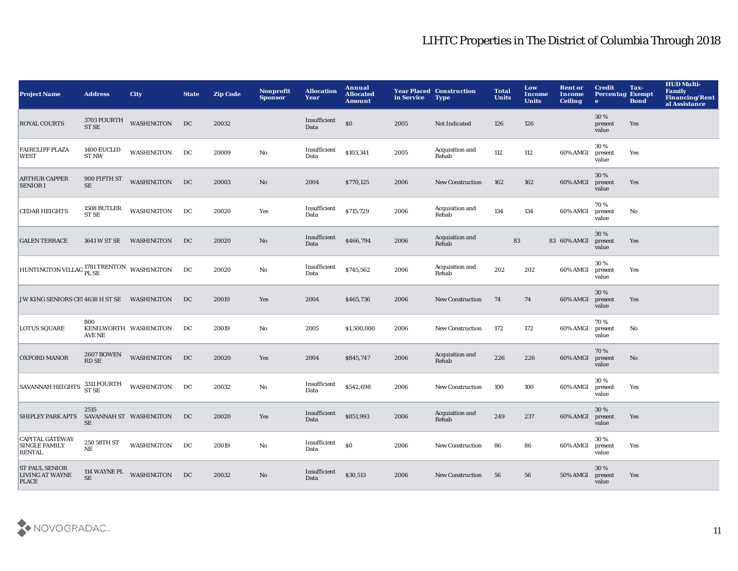| <b>Project Name</b>                                             | <b>Address</b>                    | <b>City</b>             | <b>State</b> | <b>Zip Code</b> | Nonprofit<br><b>Sponsor</b> | <b>Allocation</b><br>Year | Annual<br><b>Allocated</b><br><b>Amount</b> | in Service | <b>Year Placed Construction</b><br><b>Type</b> | <b>Total</b><br><b>Units</b> | Low<br>Income<br><b>Units</b> | <b>Rent or</b><br>Income<br><b>Ceiling</b> | <b>Credit</b><br><b>Percentag Exempt</b><br>$\bullet$ | Tax-<br><b>Bond</b> | <b>HUD Multi-</b><br><b>Family</b><br><b>Financing/Rent</b><br>al Assistance |
|-----------------------------------------------------------------|-----------------------------------|-------------------------|--------------|-----------------|-----------------------------|---------------------------|---------------------------------------------|------------|------------------------------------------------|------------------------------|-------------------------------|--------------------------------------------|-------------------------------------------------------|---------------------|------------------------------------------------------------------------------|
| <b>ROYAL COURTS</b>                                             | 3703 FOURTH<br><b>ST SE</b>       | WASHINGTON              | DC           | 20032           |                             | Insufficient<br>Data      | \$0                                         | 2005       | Not Indicated                                  | 126                          | 126                           |                                            | 30%<br>present<br>value                               | Yes                 |                                                                              |
| <b>FAIRCLIFF PLAZA</b><br><b>WEST</b>                           | 1400 EUCLID<br><b>ST NW</b>       | WASHINGTON              | DC           | 20009           | $\mathbf {No}$              | Insufficient<br>Data      | \$103,341                                   | 2005       | Acquisition and<br>Rehab                       | 112                          | 112                           | 60% AMGI                                   | 30%<br>present<br>value                               | Yes                 |                                                                              |
| <b>ARTHUR CAPPER</b><br><b>SENIOR I</b>                         | 900 FIFTH ST<br><b>SE</b>         | <b>WASHINGTON</b>       | DC           | 20003           | $\mathbf{No}$               | 2004                      | \$770,125                                   | 2006       | <b>New Construction</b>                        | 162                          | 162                           | 60% AMGI                                   | 30%<br>present<br>value                               | Yes                 |                                                                              |
| <b>CEDAR HEIGHTS</b>                                            | 1508 BUTLER<br><b>ST SE</b>       | <b>WASHINGTON</b>       | DC           | 20020           | Yes                         | Insufficient<br>Data      | \$715,729                                   | 2006       | Acquisition and<br>Rehab                       | 134                          | 134                           | 60% AMGI                                   | 70%<br>present<br>value                               | No                  |                                                                              |
| <b>GALEN TERRACE</b>                                            |                                   | 1641 W ST SE WASHINGTON | DC           | 20020           | $\mathbf{N}\mathbf{o}$      | Insufficient<br>Data      | \$466,794                                   | 2006       | Acquisition and<br>Rehab                       | 83                           |                               | 83 60% AMGI                                | 30%<br>present<br>value                               | Yes                 |                                                                              |
| HUNTINGTON VILLAG 1781 TRENTON WASHINGTON                       |                                   |                         | DC           | 20020           | $\mathbf {No}$              | Insufficient<br>Data      | \$745,562                                   | 2006       | Acquisition and<br>Rehab                       | 202                          | 202                           | 60% AMGI                                   | 30%<br>present<br>value                               | Yes                 |                                                                              |
| JW KING SENIORS CEI 4638 H ST SE WASHINGTON                     |                                   |                         | DC           | 20019           | Yes                         | 2004                      | \$465,736                                   | 2006       | <b>New Construction</b>                        | 74                           | 74                            | 60% AMGI                                   | 30%<br>present<br>value                               | Yes                 |                                                                              |
| <b>LOTUS SQUARE</b>                                             | 800<br>AVE NE                     | KENILWORTH WASHINGTON   | DC           | 20019           | No                          | 2005                      | \$1,500,000                                 | 2006       | <b>New Construction</b>                        | 172                          | 172                           | 60% AMGI                                   | 70%<br>present<br>value                               | No                  |                                                                              |
| <b>OXFORD MANOR</b>                                             | <b>2607 BOWEN</b><br><b>RD SE</b> | WASHINGTON              | DC           | 20020           | Yes                         | 2004                      | \$845,747                                   | 2006       | Acquisition and<br>Rehab                       | 226                          | 226                           | 60% AMGI                                   | 70%<br>present<br>value                               | No                  |                                                                              |
| <b>SAVANNAH HEIGHTS</b>                                         | 3311 FOURTH<br><b>ST SE</b>       | <b>WASHINGTON</b>       | DC           | 20032           | No                          | Insufficient<br>Data      | \$542,698                                   | 2006       | <b>New Construction</b>                        | 100                          | 100                           | 60% AMGI                                   | 30 %<br>present<br>value                              | Yes                 |                                                                              |
| SHIPLEY PARK APTS SAVANNAH ST WASHINGTON                        | 2515<br>SE                        |                         | DC           | 20020           | Yes                         | Insufficient<br>Data      | \$851,993                                   | 2006       | Acquisition and<br>Rehab                       | 249                          | 237                           | 60% AMGI                                   | 30%<br>present<br>value                               | Yes                 |                                                                              |
| <b>CAPITAL GATEWAY</b><br><b>SINGLE FAMILY</b><br><b>RENTAL</b> | 250 58TH ST<br>NE                 | WASHINGTON              | DC           | 20019           | No                          | Insufficient<br>Data      | \$0                                         | 2006       | <b>New Construction</b>                        | 86                           | 86                            | 60% AMGI                                   | 30%<br>present<br>value                               | Yes                 |                                                                              |
| <b>ST PAUL SENIOR</b><br><b>LIVING AT WAYNE</b><br><b>PLACE</b> | <b>SE</b>                         | 114 WAYNE PL WASHINGTON | DC           | 20032           | No                          | Insufficient<br>Data      | \$30,513                                    | 2006       | <b>New Construction</b>                        | 56                           | 56                            | 50% AMGI                                   | 30%<br>present<br>value                               | Yes                 |                                                                              |

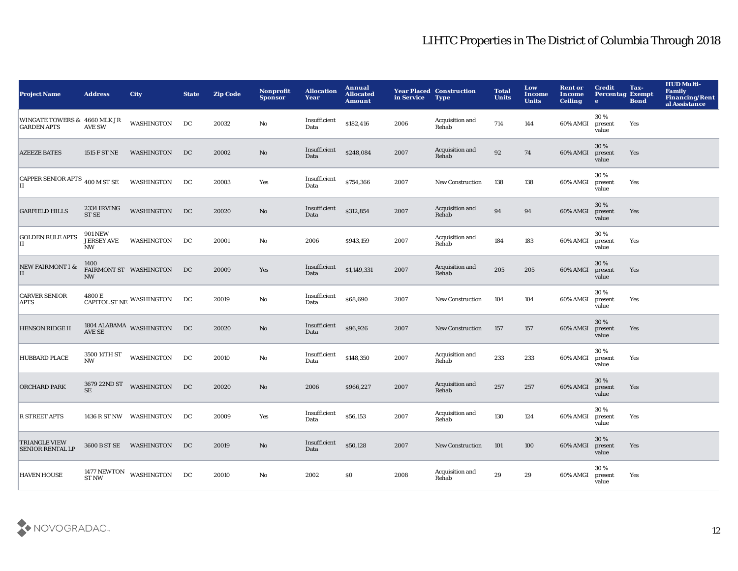| <b>Project Name</b>                                | <b>Address</b>                                   | <b>City</b>                           | <b>State</b> | <b>Zip Code</b> | <b>Nonprofit</b><br><b>Sponsor</b> | <b>Allocation</b><br>Year | Annual<br><b>Allocated</b><br><b>Amount</b> | in Service | <b>Year Placed Construction</b><br><b>Type</b> | <b>Total</b><br><b>Units</b> | Low<br>Income<br><b>Units</b> | <b>Rent or</b><br>Income<br><b>Ceiling</b> | <b>Credit</b><br><b>Percentag Exempt</b><br>$\bullet$ | Tax-<br><b>Bond</b> | <b>HUD Multi-</b><br><b>Family</b><br><b>Financing/Rent</b><br>al Assistance |
|----------------------------------------------------|--------------------------------------------------|---------------------------------------|--------------|-----------------|------------------------------------|---------------------------|---------------------------------------------|------------|------------------------------------------------|------------------------------|-------------------------------|--------------------------------------------|-------------------------------------------------------|---------------------|------------------------------------------------------------------------------|
| WINGATE TOWERS & 4660 MLK JR<br><b>GARDEN APTS</b> | <b>AVE SW</b>                                    | WASHINGTON                            | DC           | 20032           | No                                 | Insufficient<br>Data      | \$182,416                                   | 2006       | Acquisition and<br>Rehab                       | 714                          | 144                           | 60% AMGI                                   | 30%<br>present<br>value                               | Yes                 |                                                                              |
| <b>AZEEZE BATES</b>                                | 1515 F ST NE                                     | WASHINGTON                            | DC           | 20002           | No                                 | Insufficient<br>Data      | \$248,084                                   | 2007       | Acquisition and<br>Rehab                       | 92                           | 74                            | 60% AMGI                                   | 30 %<br>present<br>value                              | Yes                 |                                                                              |
| CAPPER SENIOR APTS 400 M ST SE<br>IН               |                                                  | <b>WASHINGTON</b>                     | DC           | 20003           | Yes                                | Insufficient<br>Data      | \$754,366                                   | 2007       | <b>New Construction</b>                        | 138                          | 138                           | 60% AMGI                                   | 30%<br>present<br>value                               | Yes                 |                                                                              |
| <b>GARFIELD HILLS</b>                              | 2334 IRVING<br><b>ST SE</b>                      | WASHINGTON                            | DC           | 20020           | No                                 | Insufficient<br>Data      | \$312,854                                   | 2007       | Acquisition and<br>Rehab                       | 94                           | 94                            | 60% AMGI                                   | 30%<br>present<br>value                               | Yes                 |                                                                              |
| <b>GOLDEN RULE APTS</b><br>П                       | <b>901 NEW</b><br><b>JERSEY AVE</b><br><b>NW</b> | WASHINGTON                            | DC           | 20001           | No                                 | 2006                      | \$943,159                                   | 2007       | Acquisition and<br>Rehab                       | 184                          | 183                           | 60% AMGI                                   | 30%<br>present<br>value                               | Yes                 |                                                                              |
| <b>NEW FAIRMONT I &amp;</b><br>II                  | 1400<br><b>NW</b>                                | FAIRMONT ST WASHINGTON                | DC           | 20009           | Yes                                | Insufficient<br>Data      | \$1,149,331                                 | 2007       | Acquisition and<br>Rehab                       | 205                          | 205                           | 60% AMGI                                   | 30%<br>present<br>value                               | Yes                 |                                                                              |
| <b>CARVER SENIOR</b><br><b>APTS</b>                |                                                  | CAPITOL ST NE WASHINGTON              | DC           | 20019           | No                                 | Insufficient<br>Data      | \$68,690                                    | 2007       | New Construction                               | 104                          | 104                           | 60% AMGI                                   | 30%<br>present<br>value                               | Yes                 |                                                                              |
| <b>HENSON RIDGE II</b>                             |                                                  | $1804$ ALABAMA $\,$ WASHINGTON AVE SE | DC           | 20020           | No                                 | Insufficient<br>Data      | \$96,926                                    | 2007       | <b>New Construction</b>                        | 157                          | 157                           | 60% AMGI                                   | 30 %<br>present<br>value                              | Yes                 |                                                                              |
| <b>HUBBARD PLACE</b>                               | 3500 14TH ST<br><b>NW</b>                        | WASHINGTON                            | DC           | 20010           | No                                 | Insufficient<br>Data      | \$148,350                                   | 2007       | <b>Acquisition and</b><br>Rehab                | 233                          | 233                           | 60% AMGI                                   | 30%<br>present<br>value                               | Yes                 |                                                                              |
| <b>ORCHARD PARK</b>                                | <b>SE</b>                                        | 3679 22ND ST WASHINGTON               | DC           | 20020           | $\mathbf{N}\mathbf{o}$             | 2006                      | \$966,227                                   | 2007       | Acquisition and<br>Rehab                       | 257                          | 257                           | 60% AMGI                                   | 30%<br>present<br>value                               | Yes                 |                                                                              |
| <b>R STREET APTS</b>                               |                                                  | 1436 R ST NW WASHINGTON               | DC           | 20009           | Yes                                | Insufficient<br>Data      | \$56,153                                    | 2007       | Acquisition and<br>Rehab                       | 130                          | 124                           | 60% AMGI                                   | 30%<br>present<br>value                               | Yes                 |                                                                              |
| <b>TRIANGLE VIEW</b><br><b>SENIOR RENTAL LP</b>    |                                                  | 3600 B ST SE WASHINGTON               | DC           | 20019           | No                                 | Insufficient<br>Data      | \$50,128                                    | 2007       | <b>New Construction</b>                        | 101                          | 100                           | 60% AMGI                                   | 30%<br>present<br>value                               | Yes                 |                                                                              |
| <b>HAVEN HOUSE</b>                                 | <b>ST NW</b>                                     | $1477\,\mathrm{NEWTON}$ WASHINGTON    | DC           | 20010           | No                                 | 2002                      | <b>SO</b>                                   | 2008       | Acquisition and<br>Rehab                       | 29                           | 29                            | 60% AMGI                                   | 30%<br>present<br>value                               | Yes                 |                                                                              |

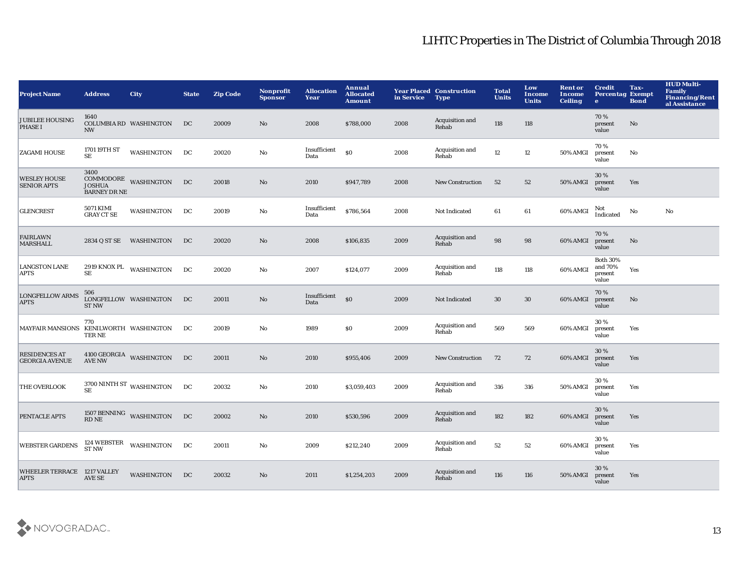| <b>Project Name</b>                           | <b>Address</b>                 | <b>City</b>                                                        | <b>State</b> | <b>Zip Code</b> | Nonprofit<br><b>Sponsor</b> | <b>Allocation</b><br>Year | Annual<br><b>Allocated</b><br><b>Amount</b> | in Service | <b>Year Placed Construction</b><br><b>Type</b> | <b>Total</b><br><b>Units</b> | Low<br>Income<br><b>Units</b> | <b>Rent or</b><br>Income<br><b>Ceiling</b> | <b>Credit</b><br><b>Percentag Exempt</b><br>$\bullet$ | Tax-<br><b>Bond</b> | <b>HUD Multi-</b><br>Family<br><b>Financing/Rent</b><br>al Assistance |
|-----------------------------------------------|--------------------------------|--------------------------------------------------------------------|--------------|-----------------|-----------------------------|---------------------------|---------------------------------------------|------------|------------------------------------------------|------------------------------|-------------------------------|--------------------------------------------|-------------------------------------------------------|---------------------|-----------------------------------------------------------------------|
| <b>JUBILEE HOUSING</b><br><b>PHASE I</b>      | 1640<br><b>NW</b>              | <b>COLUMBIA RD WASHINGTON</b>                                      | DC           | 20009           | No                          | 2008                      | \$788,000                                   | 2008       | Acquisition and<br>Rehab                       | 118                          | 118                           |                                            | 70%<br>present<br>value                               | No                  |                                                                       |
| <b>ZAGAMI HOUSE</b>                           | 1701 19TH ST<br>SE             | WASHINGTON                                                         | DC           | 20020           | $\mathbf {No}$              | Insufficient<br>Data      | \$0                                         | 2008       | Acquisition and<br>Rehab                       | 12                           | $12 \,$                       | 50% AMGI                                   | 70%<br>present<br>value                               | No                  |                                                                       |
| <b>WESLEY HOUSE</b><br><b>SENIOR APTS</b>     | 3400<br><b>BARNEY DR NE</b>    | $\begin{tabular}{ll} COMMODORE \\ JOSHUA \end{tabular}$ WASHINGTON | DC           | 20018           | No                          | 2010                      | \$947,789                                   | 2008       | <b>New Construction</b>                        | 52                           | 52                            | 50% AMGI                                   | 30%<br>present<br>value                               | Yes                 |                                                                       |
| <b>GLENCREST</b>                              | 5071 KIMI<br><b>GRAY CT SE</b> | WASHINGTON                                                         | DC           | 20019           | No                          | Insufficient<br>Data      | \$786,564                                   | 2008       | Not Indicated                                  | 61                           | 61                            | 60% AMGI                                   | Not<br>Indicated                                      | No                  | No                                                                    |
| <b>FAIRLAWN</b><br><b>MARSHALL</b>            |                                | 2834 Q ST SE WASHINGTON                                            | DC           | 20020           | No                          | 2008                      | \$106,835                                   | 2009       | Acquisition and<br>Rehab                       | 98                           | 98                            | 60% AMGI                                   | 70%<br>present<br>value                               | No                  |                                                                       |
| <b>LANGSTON LANE</b><br><b>APTS</b>           | SE                             | 2919 KNOX PL WASHINGTON                                            | DC           | 20020           | No                          | 2007                      | \$124,077                                   | 2009       | Acquisition and<br>Rehab                       | 118                          | 118                           | 60% AMGI                                   | <b>Both 30%</b><br>and 70%<br>present<br>value        | Yes                 |                                                                       |
| <b>LONGFELLOW ARMS</b><br><b>APTS</b>         | 506<br><b>ST NW</b>            | LONGFELLOW WASHINGTON                                              | DC           | 20011           | No                          | Insufficient<br>Data      | \$0                                         | 2009       | Not Indicated                                  | 30                           | 30                            | 60% AMGI                                   | 70%<br>present<br>value                               | No                  |                                                                       |
| MAYFAIR MANSIONS KENILWORTH WASHINGTON        | 770<br>TER NE                  |                                                                    | DC           | 20019           | No                          | 1989                      | \$0\$                                       | 2009       | Acquisition and<br>Rehab                       | 569                          | 569                           | 60% AMGI                                   | 30%<br>present<br>value                               | Yes                 |                                                                       |
| <b>RESIDENCES AT</b><br><b>GEORGIA AVENUE</b> | <b>AVE NW</b>                  | 4100 GEORGIA WASHINGTON                                            | DC           | 20011           | No                          | 2010                      | \$955,406                                   | 2009       | <b>New Construction</b>                        | 72                           | 72                            | 60% AMGI                                   | 30%<br>present<br>value                               | Yes                 |                                                                       |
| <b>THE OVERLOOK</b>                           | <b>SE</b>                      | $3700$ NINTH ST $\,$ WASHINGTON $\,$                               | DC           | 20032           | No                          | 2010                      | \$3,059,403                                 | 2009       | Acquisition and<br>Rehab                       | 316                          | 316                           | 50% AMGI                                   | 30%<br>present<br>value                               | Yes                 |                                                                       |
| PENTACLE APTS                                 | <b>RD NE</b>                   | 1507 BENNING WASHINGTON                                            | DC           | 20002           | $\mathbf{No}$               | 2010                      | \$530,596                                   | 2009       | Acquisition and<br>Rehab                       | 182                          | 182                           | 60% AMGI                                   | 30 %<br>present<br>value                              | Yes                 |                                                                       |
| <b>WEBSTER GARDENS</b>                        | 124 WEBSTER<br>ST NW           | WASHINGTON                                                         | DC           | 20011           | No                          | 2009                      | \$212,240                                   | 2009       | Acquisition and<br>Rehab                       | 52                           | 52                            | 60% AMGI                                   | 30%<br>present<br>value                               | Yes                 |                                                                       |
| WHEELER TERRACE 1217 VALLEY<br><b>APTS</b>    | AVE SE                         | WASHINGTON                                                         | DC           | 20032           | N <sub>o</sub>              | 2011                      | \$1,254,203                                 | 2009       | Acquisition and<br>Rehab                       | 116                          | 116                           | 50% AMGI                                   | 30 %<br>present<br>value                              | Yes                 |                                                                       |

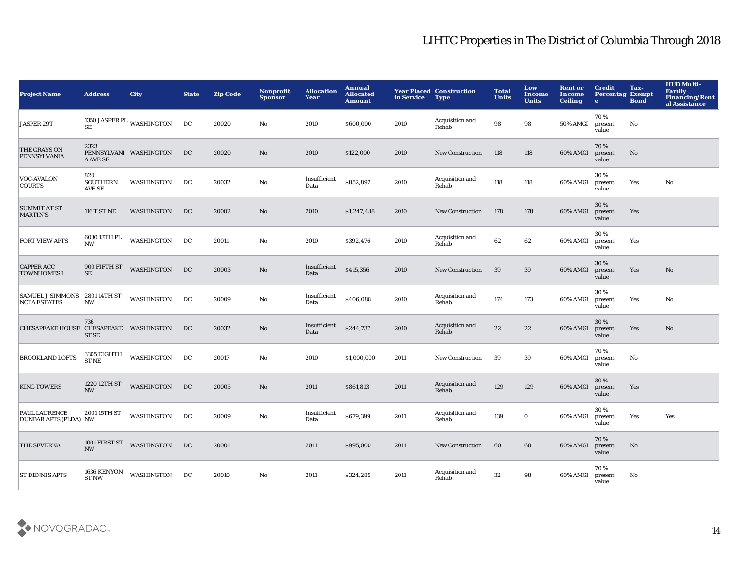| <b>Project Name</b>                                  | <b>Address</b>                   | City                      | <b>State</b> | <b>Zip Code</b> | Nonprofit<br><b>Sponsor</b> | <b>Allocation</b><br>Year | Annual<br><b>Allocated</b><br><b>Amount</b> | in Service | <b>Year Placed Construction</b><br><b>Type</b> | <b>Total</b><br><b>Units</b> | Low<br>Income<br><b>Units</b> | <b>Rent or</b><br>Income<br><b>Ceiling</b> | <b>Credit</b><br><b>Percentag Exempt</b><br>$\bullet$ | Tax-<br><b>Bond</b> | <b>HUD Multi-</b><br><b>Family</b><br><b>Financing/Rent</b><br>al Assistance |
|------------------------------------------------------|----------------------------------|---------------------------|--------------|-----------------|-----------------------------|---------------------------|---------------------------------------------|------------|------------------------------------------------|------------------------------|-------------------------------|--------------------------------------------|-------------------------------------------------------|---------------------|------------------------------------------------------------------------------|
| JASPER 29T                                           | <b>SE</b>                        | 1350 JASPER PL WASHINGTON | DC           | 20020           | No                          | 2010                      | \$600,000                                   | 2010       | Acquisition and<br>Rehab                       | 98                           | 98                            | 50% AMGI                                   | 70%<br>present<br>value                               | No                  |                                                                              |
| THE GRAYS ON<br>PENNSYLVANIA                         | 2323<br>A AVE SE                 | PENNSYLVANI WASHINGTON    | DC           | 20020           | $\mathbf{N}\mathbf{o}$      | 2010                      | \$122,000                                   | 2010       | <b>New Construction</b>                        | 118                          | 118                           | 60% AMGI                                   | 70%<br>present<br>value                               | $\mathbf{No}$       |                                                                              |
| <b>VOC-AVALON</b><br><b>COURTS</b>                   | 820<br><b>SOUTHERN</b><br>AVE SE | WASHINGTON                | DC           | 20032           | No                          | Insufficient<br>Data      | \$852,892                                   | 2010       | Acquisition and<br>Rehab                       | 118                          | 118                           | 60% AMGI                                   | 30%<br>present<br>value                               | Yes                 | No                                                                           |
| <b>SUMMIT AT ST</b><br><b>MARTIN'S</b>               | <b>116 T ST NE</b>               | WASHINGTON                | DC           | 20002           | No                          | 2010                      | \$1,247,488                                 | 2010       | <b>New Construction</b>                        | 178                          | 178                           | 60% AMGI                                   | 30 %<br>present<br>value                              | Yes                 |                                                                              |
| <b>FORT VIEW APTS</b>                                | 6030 13TH PL<br><b>NW</b>        | WASHINGTON                | DC           | 20011           | No                          | 2010                      | \$392,476                                   | 2010       | Acquisition and<br>Rehab                       | 62                           | 62                            | 60% AMGI                                   | 30%<br>present<br>value                               | Yes                 |                                                                              |
| <b>CAPPER ACC</b><br><b>TOWNHOMES I</b>              | 900 FIFTH ST<br>SE               | <b>WASHINGTON</b>         | DC           | 20003           | $\mathbf{N}\mathbf{o}$      | Insufficient<br>Data      | \$415,356                                   | 2010       | <b>New Construction</b>                        | 39                           | 39                            | 60% AMGI                                   | 30 %<br>present<br>value                              | Yes                 | No                                                                           |
| SAMUEL J SIMMONS 2801 14TH ST<br><b>NCBA ESTATES</b> | <b>NW</b>                        | WASHINGTON                | DC           | 20009           | No                          | Insufficient<br>Data      | \$406,088                                   | 2010       | Acquisition and<br>Rehab                       | 174                          | 173                           | 60% AMGI                                   | 30%<br>present<br>value                               | Yes                 | No                                                                           |
| CHESAPEAKE HOUSE CHESAPEAKE WASHINGTON               | 736<br><b>ST SE</b>              |                           | DC           | 20032           | No                          | Insufficient<br>Data      | \$244,737                                   | 2010       | Acquisition and<br>Rehab                       | 22                           | 22                            | 60% AMGI                                   | 30%<br>present<br>value                               | Yes                 | No                                                                           |
| <b>BROOKLAND LOFTS</b>                               | 3305 EIGHTH<br><b>ST NE</b>      | <b>WASHINGTON</b>         | DC           | 20017           | No                          | 2010                      | \$1,000,000                                 | 2011       | <b>New Construction</b>                        | 39                           | 39                            | 60% AMGI                                   | 70%<br>present<br>value                               | No                  |                                                                              |
| <b>KING TOWERS</b>                                   | 1220 12TH ST<br><b>NW</b>        | WASHINGTON                | DC           | 20005           | $\mathbf{N}\mathbf{o}$      | 2011                      | \$861,813                                   | 2011       | Acquisition and<br>Rehab                       | 129                          | 129                           | 60% AMGI                                   | 30%<br>present<br>value                               | Yes                 |                                                                              |
| <b>PAUL LAURENCE</b><br><b>DUNBAR APTS (PLDA) NW</b> | 2001 15TH ST                     | WASHINGTON                | DC           | 20009           | No                          | Insufficient<br>Data      | \$679,399                                   | 2011       | Acquisition and<br>Rehab                       | 139                          | $\bf{0}$                      | 60% AMGI                                   | 30%<br>present<br>value                               | Yes                 | Yes                                                                          |
| <b>THE SEVERNA</b>                                   | 1001 FIRST ST<br><b>NW</b>       | <b>WASHINGTON</b>         | DC           | 20001           |                             | 2011                      | \$995,000                                   | 2011       | <b>New Construction</b>                        | 60                           | 60                            | 60% AMGI                                   | 70%<br>present<br>value                               | No                  |                                                                              |
| <b>ST DENNIS APTS</b>                                | 1636 KENYON<br><b>ST NW</b>      | WASHINGTON                | DC           | 20010           | No                          | 2011                      | \$324,285                                   | 2011       | Acquisition and<br>Rehab                       | 32                           | 98                            | 60% AMGI                                   | 70%<br>present<br>value                               | No                  |                                                                              |

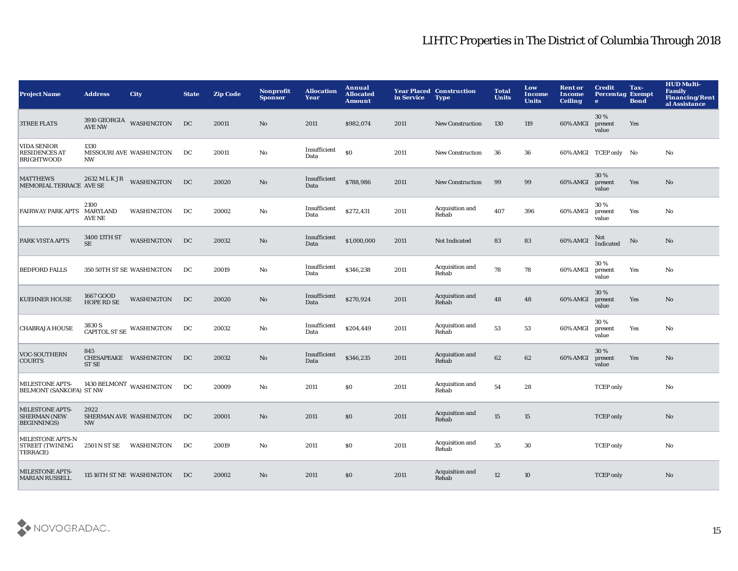| <b>Project Name</b>                                                  | <b>Address</b>                           | <b>City</b>               | <b>State</b> | <b>Zip Code</b> | Nonprofit<br><b>Sponsor</b> | <b>Allocation</b><br>Year | Annual<br><b>Allocated</b><br><b>Amount</b> | in Service | <b>Year Placed Construction</b><br><b>Type</b> | <b>Total</b><br><b>Units</b> | Low<br><b>Income</b><br><b>Units</b> | <b>Rent or</b><br>Income<br><b>Ceiling</b> | <b>Credit</b><br><b>Percentag Exempt</b><br>$\bullet$ | Tax-<br><b>Bond</b> | <b>HUD Multi-</b><br><b>Family</b><br><b>Financing/Rent</b><br>al Assistance |
|----------------------------------------------------------------------|------------------------------------------|---------------------------|--------------|-----------------|-----------------------------|---------------------------|---------------------------------------------|------------|------------------------------------------------|------------------------------|--------------------------------------|--------------------------------------------|-------------------------------------------------------|---------------------|------------------------------------------------------------------------------|
| <b>3TREE FLATS</b>                                                   | <b>AVE NW</b>                            | 3910 GEORGIA WASHINGTON   | DC           | 20011           | No                          | 2011                      | \$982,074                                   | 2011       | <b>New Construction</b>                        | 130                          | 119                                  | 60% AMGI                                   | 30%<br>present<br>value                               | Yes                 |                                                                              |
| <b>VIDA SENIOR</b><br><b>RESIDENCES AT</b><br><b>BRIGHTWOOD</b>      | 1330<br>NW                               | MISSOURI AVE WASHINGTON   | DC           | 20011           | No                          | Insufficient<br>Data      | <sub>so</sub>                               | 2011       | <b>New Construction</b>                        | 36                           | 36                                   |                                            | 60% AMGI TCEP only No                                 |                     | No                                                                           |
| <b>MATTHEWS</b><br>MEMORIAL TERRACE AVE SE                           |                                          | 2632 MLK JR WASHINGTON    | DC           | 20020           | $\mathbf{No}$               | Insufficient<br>Data      | \$788,986                                   | 2011       | <b>New Construction</b>                        | 99                           | 99                                   | 60% AMGI                                   | 30%<br>present<br>value                               | Yes                 | No                                                                           |
| <b>FAIRWAY PARK APTS</b>                                             | 2100<br><b>MARYLAND</b><br><b>AVE NE</b> | <b>WASHINGTON</b>         | DC           | 20002           | No                          | Insufficient<br>Data      | \$272,431                                   | 2011       | Acquisition and<br>Rehab                       | 407                          | 396                                  | 60% AMGI                                   | 30%<br>present<br>value                               | Yes                 | No                                                                           |
| PARK VISTA APTS                                                      | 3400 13TH ST<br><b>SE</b>                | <b>WASHINGTON</b>         | DC           | 20032           | $\mathbf{No}$               | Insufficient<br>Data      | \$1,000,000                                 | 2011       | Not Indicated                                  | 83                           | 83                                   | 60% AMGI                                   | Not<br>Indicated                                      | No                  | No                                                                           |
| <b>BEDFORD FALLS</b>                                                 |                                          | 350 50TH ST SE WASHINGTON | DC           | 20019           | No                          | Insufficient<br>Data      | \$346,238                                   | 2011       | Acquisition and<br>Rehab                       | 78                           | 78                                   | 60% AMGI                                   | 30%<br>present<br>value                               | Yes                 | No                                                                           |
| <b>KUEHNER HOUSE</b>                                                 | 1667 GOOD<br><b>HOPE RD SE</b>           | WASHINGTON                | DC           | 20020           | $\rm\thinspace No$          | Insufficient<br>Data      | \$270,924                                   | 2011       | Acquisition and<br>Rehab                       | 48                           | 48                                   | 60% AMGI                                   | 30 %<br>present<br>value                              | Yes                 | No                                                                           |
| <b>CHABRAJA HOUSE</b>                                                | 3830 S                                   | CAPITOL ST SE WASHINGTON  | DC           | 20032           | No                          | Insufficient<br>Data      | \$204,449                                   | 2011       | Acquisition and<br>Rehab                       | 53                           | 53                                   | 60% AMGI                                   | 30%<br>present<br>value                               | Yes                 | No                                                                           |
| VOC-SOUTHERN<br><b>COURTS</b>                                        | 845<br><b>ST SE</b>                      | CHESAPEAKE WASHINGTON     | DC           | 20032           | $\mathbf{No}$               | Insufficient<br>Data      | \$346,235                                   | 2011       | Acquisition and<br>Rehab                       | 62                           | 62                                   | 60% AMGI                                   | 30 %<br>present<br>value                              | Yes                 | No                                                                           |
| MILESTONE APTS-<br><b>BELMONT (SANKOFA) ST NW</b>                    |                                          | 1430 BELMONT WASHINGTON   | DC           | 20009           | No                          | 2011                      | <b>SO</b>                                   | 2011       | Acquisition and<br>Rehab                       | 54                           | 28                                   |                                            | <b>TCEP</b> only                                      |                     | No                                                                           |
| <b>MILESTONE APTS-</b><br><b>SHERMAN (NEW</b><br><b>BEGINNINGS</b> ) | 2922<br><b>NW</b>                        | SHERMAN AVE WASHINGTON    | DC           | 20001           | No                          | 2011                      | \$0                                         | 2011       | Acquisition and<br>Rehab                       | 15                           | 15                                   |                                            | <b>TCEP</b> only                                      |                     | No                                                                           |
| MILESTONE APTS-N<br><b>STREET (TWINING</b><br>TERRACE)               | 2501 N ST SE                             | WASHINGTON                | DC           | 20019           | No                          | 2011                      | <b>SO</b>                                   | 2011       | Acquisition and<br>Rehab                       | 35                           | 30                                   |                                            | <b>TCEP</b> only                                      |                     | No                                                                           |
| <b>MILESTONE APTS-</b><br><b>MARIAN RUSSELL</b>                      |                                          | 115 16TH ST NE WASHINGTON | DC           | 20002           | No                          | 2011                      | \$0                                         | 2011       | Acquisition and<br>Rehab                       | 12                           | 10                                   |                                            | <b>TCEP</b> only                                      |                     | No                                                                           |